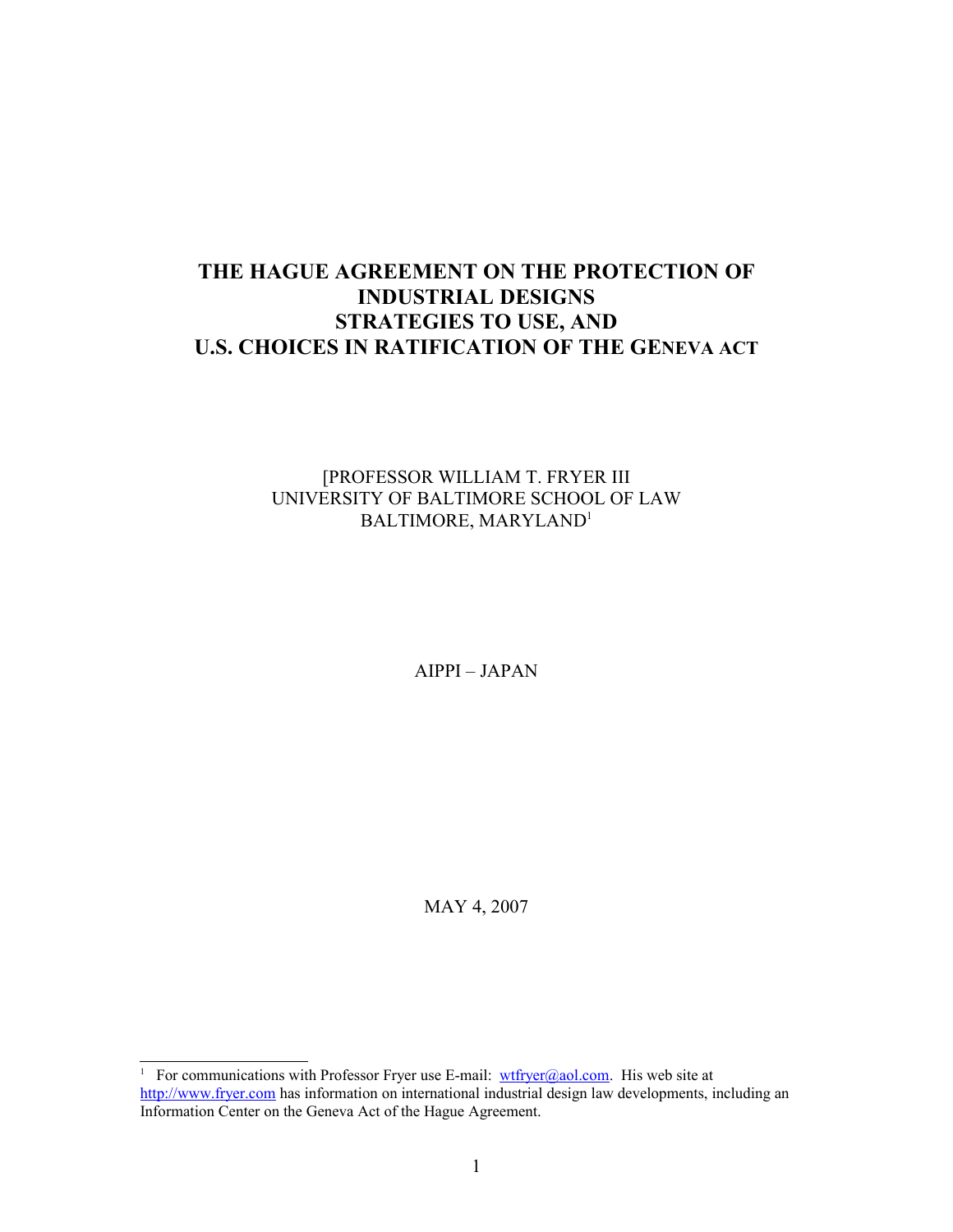# **THE HAGUE AGREEMENT ON THE PROTECTION OF INDUSTRIAL DESIGNS STRATEGIES TO USE, AND U.S. CHOICES IN RATIFICATION OF THE GENEVA ACT**

## [PROFESSOR WILLIAM T. FRYER III UNIVERSITY OF BALTIMORE SCHOOL OF LAW BALTIMORE, MARYLAND[1](#page-0-0)

AIPPI – JAPAN

MAY 4, 2007

<span id="page-0-0"></span><sup>&</sup>lt;sup>1</sup> For communications with Professor Fryer use E-mail:  $wtfryer@aol.com$ . His web site at [http://www.fryer.com](http://www.fryer.com/) has information on international industrial design law developments, including an Information Center on the Geneva Act of the Hague Agreement.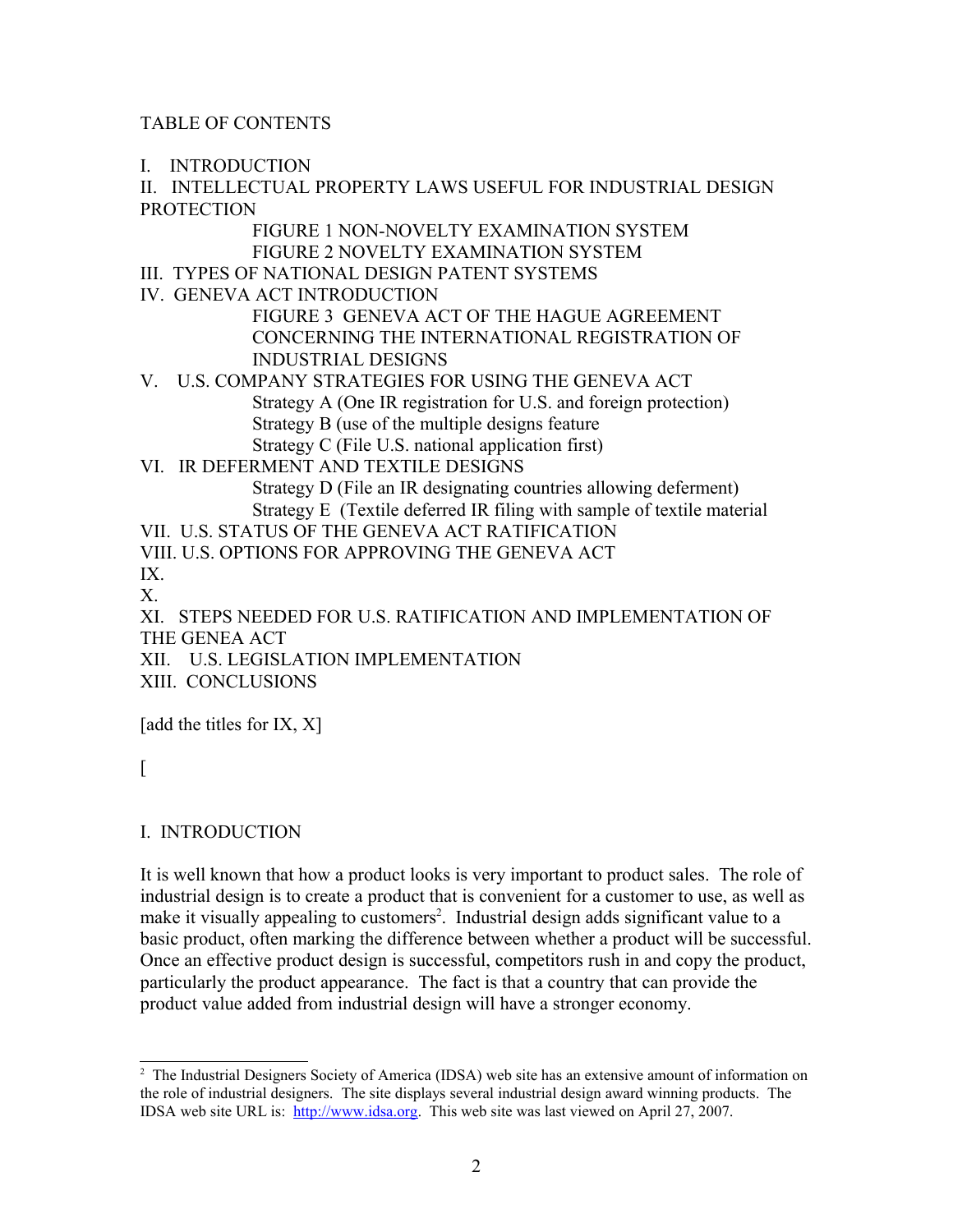# TABLE OF CONTENTS

I. INTRODUCTION

II. INTELLECTUAL PROPERTY LAWS USEFUL FOR INDUSTRIAL DESIGN **PROTECTION** 

> FIGURE 1 NON-NOVELTY EXAMINATION SYSTEM FIGURE 2 NOVELTY EXAMINATION SYSTEM

III. TYPES OF NATIONAL DESIGN PATENT SYSTEMS

IV. GENEVA ACT INTRODUCTION

FIGURE 3 GENEVA ACT OF THE HAGUE AGREEMENT CONCERNING THE INTERNATIONAL REGISTRATION OF INDUSTRIAL DESIGNS

- V. U.S. COMPANY STRATEGIES FOR USING THE GENEVA ACT Strategy A (One IR registration for U.S. and foreign protection) Strategy B (use of the multiple designs feature Strategy C (File U.S. national application first)
- VI. IR DEFERMENT AND TEXTILE DESIGNS Strategy D (File an IR designating countries allowing deferment) Strategy E (Textile deferred IR filing with sample of textile material

VII. U.S. STATUS OF THE GENEVA ACT RATIFICATION VIII. U.S. OPTIONS FOR APPROVING THE GENEVA ACT IX.

X.

XI. STEPS NEEDED FOR U.S. RATIFICATION AND IMPLEMENTATION OF THE GENEA ACT

XII. U.S. LEGISLATION IMPLEMENTATION

XIII. CONCLUSIONS

[add the titles for IX, X]

 $\lceil$ 

# I. INTRODUCTION

It is well known that how a product looks is very important to product sales. The role of industrial design is to create a product that is convenient for a customer to use, as well as make it visually appealing to customers<sup>[2](#page-1-0)</sup>. Industrial design adds significant value to a basic product, often marking the difference between whether a product will be successful. Once an effective product design is successful, competitors rush in and copy the product, particularly the product appearance. The fact is that a country that can provide the product value added from industrial design will have a stronger economy.

<span id="page-1-0"></span><sup>&</sup>lt;sup>2</sup> The Industrial Designers Society of America (IDSA) web site has an extensive amount of information on the role of industrial designers. The site displays several industrial design award winning products. The IDSA web site URL is: [http://www.idsa.org.](http://www.idsa.org/) This web site was last viewed on April 27, 2007.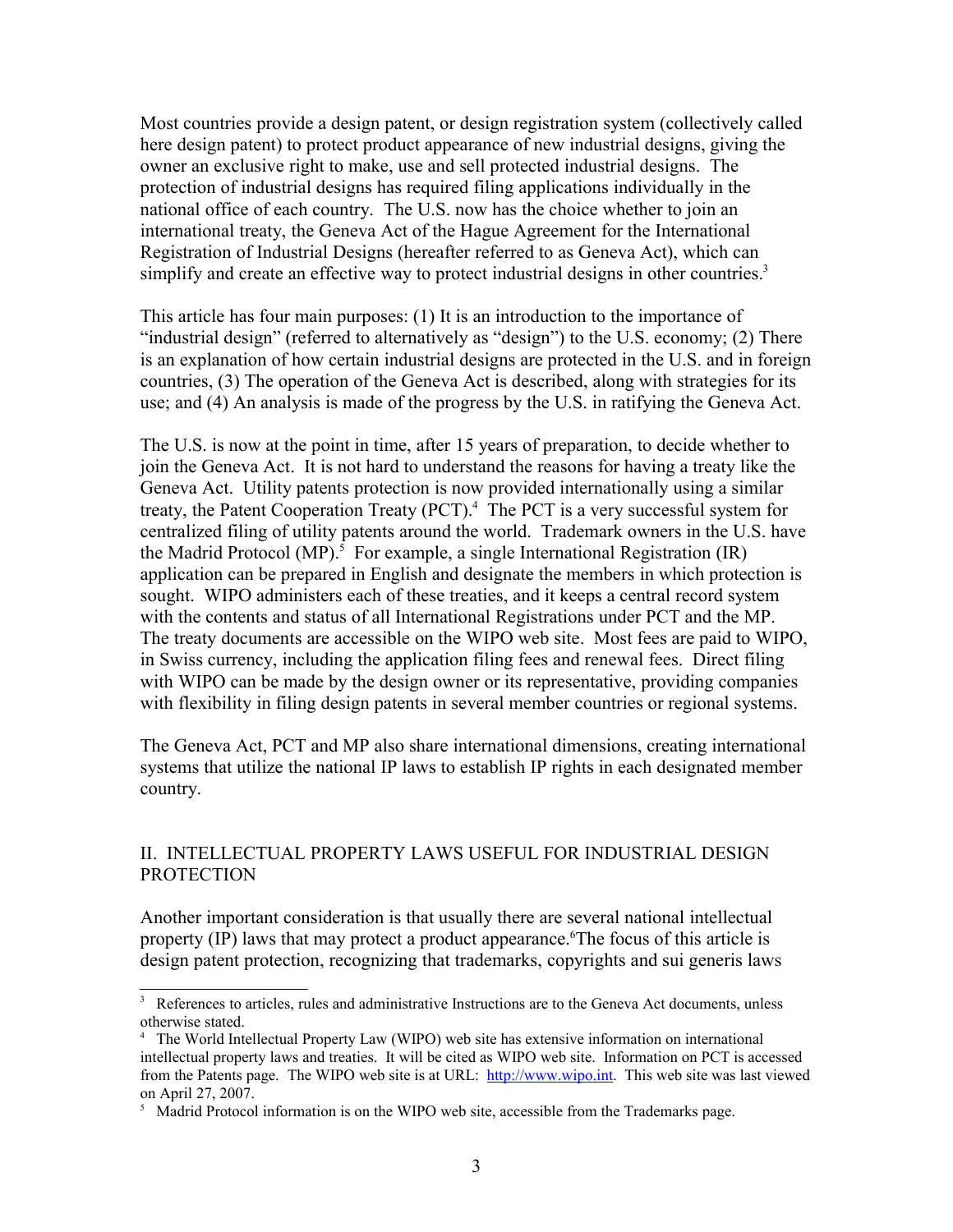Most countries provide a design patent, or design registration system (collectively called here design patent) to protect product appearance of new industrial designs, giving the owner an exclusive right to make, use and sell protected industrial designs. The protection of industrial designs has required filing applications individually in the national office of each country. The U.S. now has the choice whether to join an international treaty, the Geneva Act of the Hague Agreement for the International Registration of Industrial Designs (hereafter referred to as Geneva Act), which can simplify and create an effective way to protect industrial designs in other countries.<sup>[3](#page-2-0)</sup>

This article has four main purposes: (1) It is an introduction to the importance of "industrial design" (referred to alternatively as "design") to the U.S. economy; (2) There is an explanation of how certain industrial designs are protected in the U.S. and in foreign countries, (3) The operation of the Geneva Act is described, along with strategies for its use; and (4) An analysis is made of the progress by the U.S. in ratifying the Geneva Act.

The U.S. is now at the point in time, after 15 years of preparation, to decide whether to join the Geneva Act. It is not hard to understand the reasons for having a treaty like the Geneva Act. Utility patents protection is now provided internationally using a similar treaty, the Patent Cooperation Treaty (PCT).<sup>[4](#page-2-1)</sup> The PCT is a very successful system for centralized filing of utility patents around the world. Trademark owners in the U.S. have the Madrid Protocol (MP).<sup>[5](#page-2-2)</sup> For example, a single International Registration (IR) application can be prepared in English and designate the members in which protection is sought. WIPO administers each of these treaties, and it keeps a central record system with the contents and status of all International Registrations under PCT and the MP. The treaty documents are accessible on the WIPO web site. Most fees are paid to WIPO, in Swiss currency, including the application filing fees and renewal fees. Direct filing with WIPO can be made by the design owner or its representative, providing companies with flexibility in filing design patents in several member countries or regional systems.

The Geneva Act, PCT and MP also share international dimensions, creating international systems that utilize the national IP laws to establish IP rights in each designated member country.

## II. INTELLECTUAL PROPERTY LAWS USEFUL FOR INDUSTRIAL DESIGN PROTECTION

Another important consideration is that usually there are several national intellectual property (IP) laws that may protect a product appearance.<sup>[6](#page-3-0)</sup>The focus of this article is design patent protection, recognizing that trademarks, copyrights and sui generis laws

<span id="page-2-0"></span><sup>3</sup> References to articles, rules and administrative Instructions are to the Geneva Act documents, unless otherwise stated.

<span id="page-2-1"></span><sup>4</sup> The World Intellectual Property Law (WIPO) web site has extensive information on international intellectual property laws and treaties. It will be cited as WIPO web site. Information on PCT is accessed from the Patents page. The WIPO web site is at URL: [http://www.wipo.int.](http://www.wipo.int/) This web site was last viewed on April 27, 2007.

<span id="page-2-2"></span><sup>&</sup>lt;sup>5</sup> Madrid Protocol information is on the WIPO web site, accessible from the Trademarks page.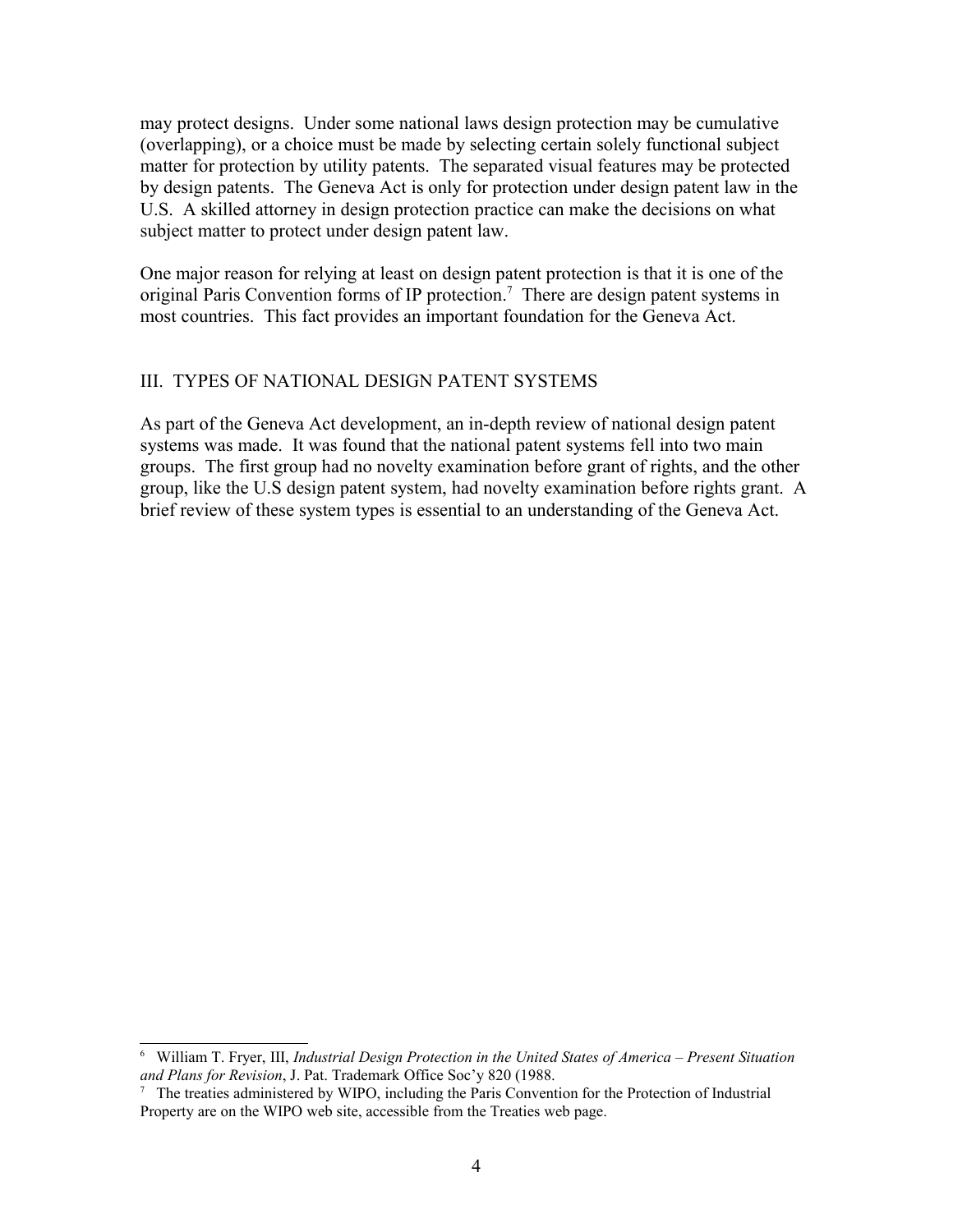may protect designs. Under some national laws design protection may be cumulative (overlapping), or a choice must be made by selecting certain solely functional subject matter for protection by utility patents. The separated visual features may be protected by design patents. The Geneva Act is only for protection under design patent law in the U.S. A skilled attorney in design protection practice can make the decisions on what subject matter to protect under design patent law.

One major reason for relying at least on design patent protection is that it is one of the original Paris Convention forms of IP protection.<sup>[7](#page-3-1)</sup> There are design patent systems in most countries. This fact provides an important foundation for the Geneva Act.

### III. TYPES OF NATIONAL DESIGN PATENT SYSTEMS

As part of the Geneva Act development, an in-depth review of national design patent systems was made. It was found that the national patent systems fell into two main groups. The first group had no novelty examination before grant of rights, and the other group, like the U.S design patent system, had novelty examination before rights grant. A brief review of these system types is essential to an understanding of the Geneva Act.

<span id="page-3-0"></span><sup>6</sup> William T. Fryer, III, *Industrial Design Protection in the United States of America – Present Situation and Plans for Revision*, J. Pat. Trademark Office Soc'y 820 (1988.

<span id="page-3-1"></span><sup>7</sup> The treaties administered by WIPO, including the Paris Convention for the Protection of Industrial Property are on the WIPO web site, accessible from the Treaties web page.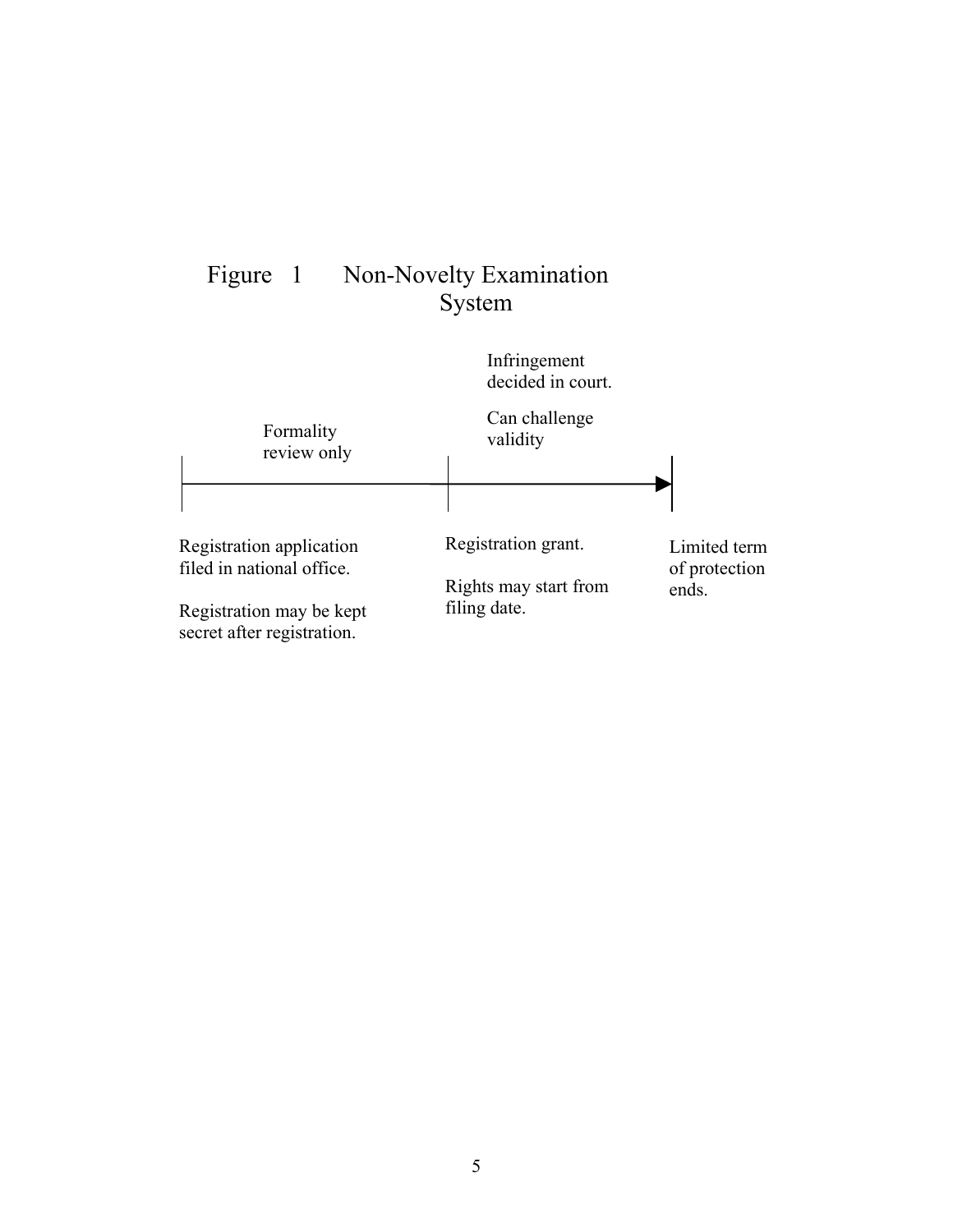

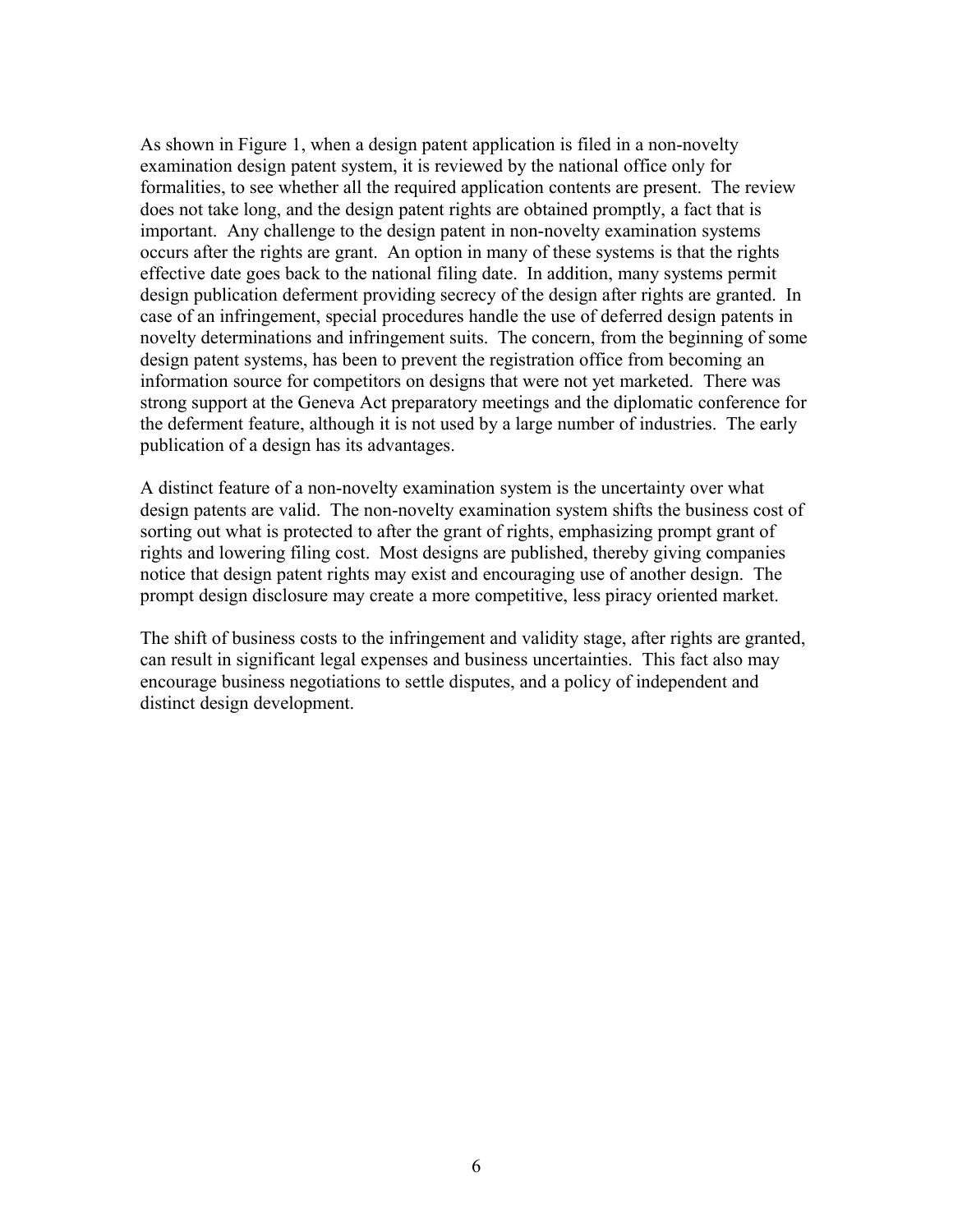As shown in Figure 1, when a design patent application is filed in a non-novelty examination design patent system, it is reviewed by the national office only for formalities, to see whether all the required application contents are present. The review does not take long, and the design patent rights are obtained promptly, a fact that is important. Any challenge to the design patent in non-novelty examination systems occurs after the rights are grant. An option in many of these systems is that the rights effective date goes back to the national filing date. In addition, many systems permit design publication deferment providing secrecy of the design after rights are granted. In case of an infringement, special procedures handle the use of deferred design patents in novelty determinations and infringement suits. The concern, from the beginning of some design patent systems, has been to prevent the registration office from becoming an information source for competitors on designs that were not yet marketed. There was strong support at the Geneva Act preparatory meetings and the diplomatic conference for the deferment feature, although it is not used by a large number of industries. The early publication of a design has its advantages.

A distinct feature of a non-novelty examination system is the uncertainty over what design patents are valid. The non-novelty examination system shifts the business cost of sorting out what is protected to after the grant of rights, emphasizing prompt grant of rights and lowering filing cost. Most designs are published, thereby giving companies notice that design patent rights may exist and encouraging use of another design. The prompt design disclosure may create a more competitive, less piracy oriented market.

The shift of business costs to the infringement and validity stage, after rights are granted, can result in significant legal expenses and business uncertainties. This fact also may encourage business negotiations to settle disputes, and a policy of independent and distinct design development.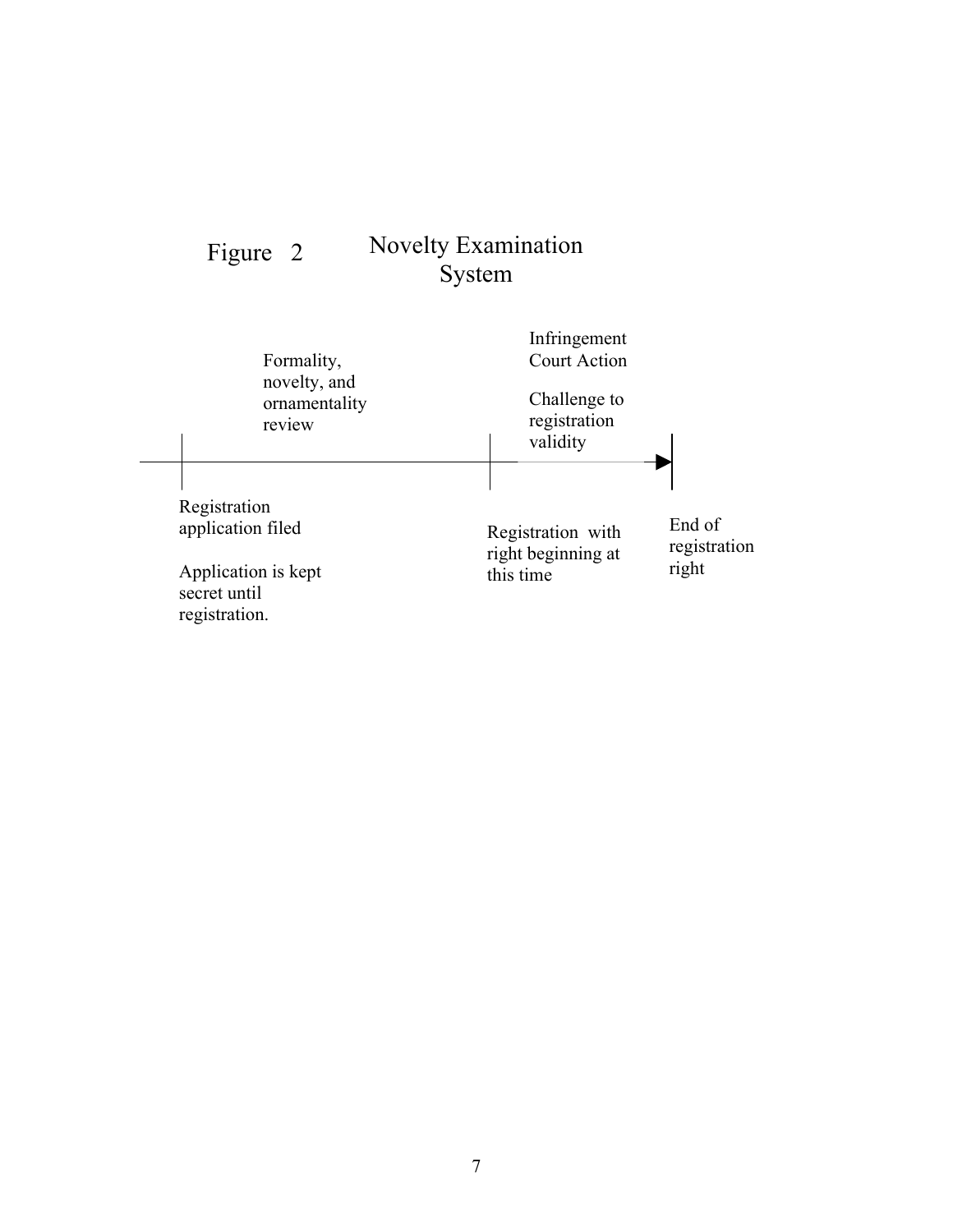### Novelty Examination System Figure 2

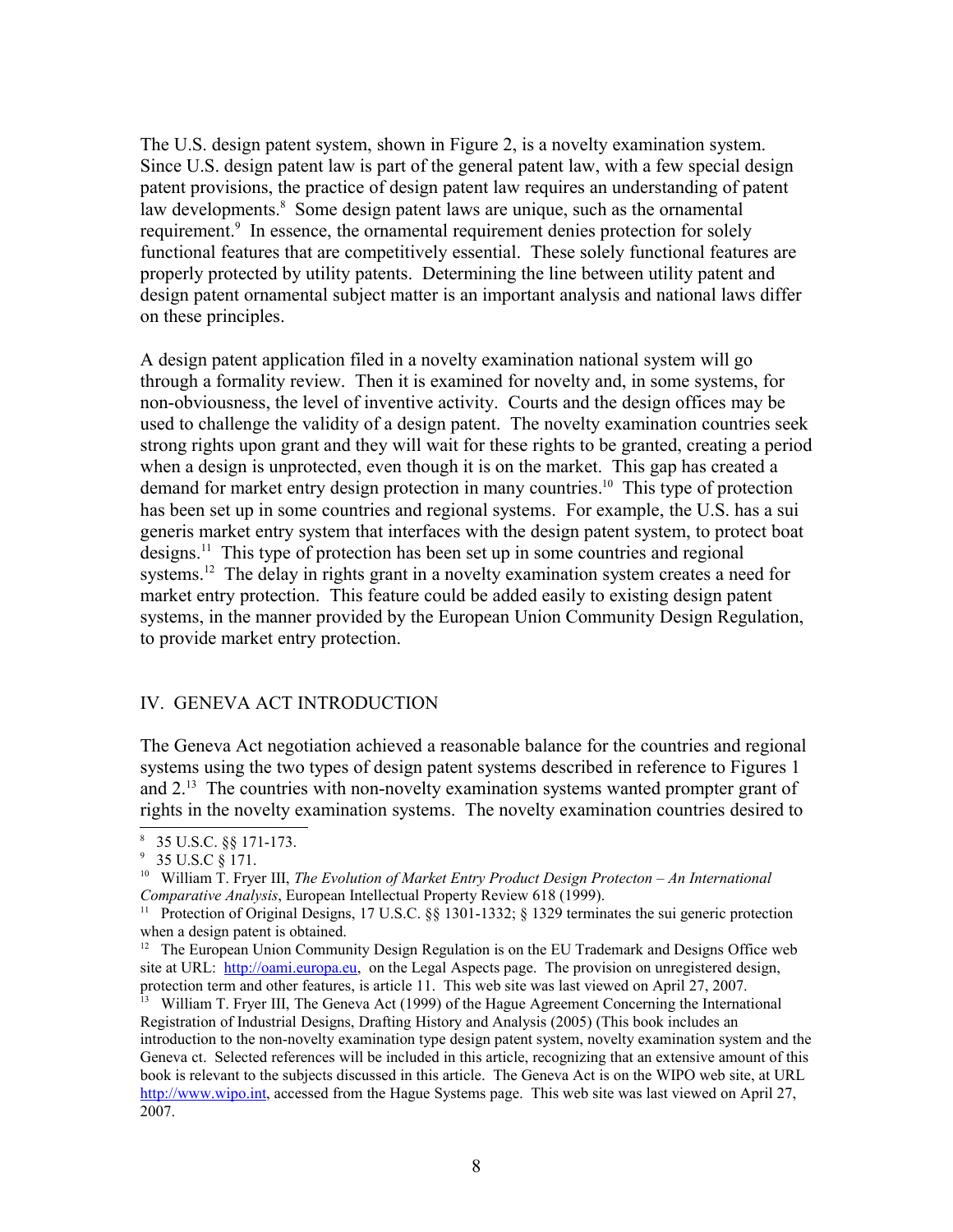The U.S. design patent system, shown in Figure 2, is a novelty examination system. Since U.S. design patent law is part of the general patent law, with a few special design patent provisions, the practice of design patent law requires an understanding of patent law developments.<sup>[8](#page-7-0)</sup> Some design patent laws are unique, such as the ornamental requirement.<sup>[9](#page-7-1)</sup> In essence, the ornamental requirement denies protection for solely functional features that are competitively essential. These solely functional features are properly protected by utility patents. Determining the line between utility patent and design patent ornamental subject matter is an important analysis and national laws differ on these principles.

A design patent application filed in a novelty examination national system will go through a formality review. Then it is examined for novelty and, in some systems, for non-obviousness, the level of inventive activity. Courts and the design offices may be used to challenge the validity of a design patent. The novelty examination countries seek strong rights upon grant and they will wait for these rights to be granted, creating a period when a design is unprotected, even though it is on the market. This gap has created a demand for market entry design protection in many countries.<sup>[10](#page-7-2)</sup> This type of protection has been set up in some countries and regional systems. For example, the U.S. has a sui generis market entry system that interfaces with the design patent system, to protect boat designs.[11](#page-7-3) This type of protection has been set up in some countries and regional systems.<sup>[12](#page-7-4)</sup> The delay in rights grant in a novelty examination system creates a need for market entry protection. This feature could be added easily to existing design patent systems, in the manner provided by the European Union Community Design Regulation, to provide market entry protection.

## IV. GENEVA ACT INTRODUCTION

The Geneva Act negotiation achieved a reasonable balance for the countries and regional systems using the two types of design patent systems described in reference to Figures 1 and  $2<sup>13</sup>$  $2<sup>13</sup>$  $2<sup>13</sup>$ . The countries with non-novelty examination systems wanted prompter grant of rights in the novelty examination systems. The novelty examination countries desired to

<span id="page-7-0"></span><sup>8</sup> 35 U.S.C. §§ 171-173.

<span id="page-7-1"></span> $9\,$  35 U.S.C  $\S$  171.

<span id="page-7-2"></span><sup>10</sup> William T. Fryer III, *The Evolution of Market Entry Product Design Protecton – An International Comparative Analysis*, European Intellectual Property Review 618 (1999).

<span id="page-7-3"></span><sup>&</sup>lt;sup>11</sup> Protection of Original Designs, 17 U.S.C. §§ 1301-1332; § 1329 terminates the sui generic protection when a design patent is obtained.

<span id="page-7-4"></span><sup>&</sup>lt;sup>12</sup> The European Union Community Design Regulation is on the EU Trademark and Designs Office web site at URL: [http://oami.europa.eu,](http://oami.europa.eu/) on the Legal Aspects page. The provision on unregistered design, protection term and other features, is article 11. This web site was last viewed on April 27, 2007.

<span id="page-7-5"></span><sup>&</sup>lt;sup>13</sup> William T. Fryer III, The Geneva Act (1999) of the Hague Agreement Concerning the International Registration of Industrial Designs, Drafting History and Analysis (2005) (This book includes an introduction to the non-novelty examination type design patent system, novelty examination system and the Geneva ct. Selected references will be included in this article, recognizing that an extensive amount of this book is relevant to the subjects discussed in this article. The Geneva Act is on the WIPO web site, at URL [http://www.wipo.int,](http://www.wipo.int/) accessed from the Hague Systems page. This web site was last viewed on April 27, 2007.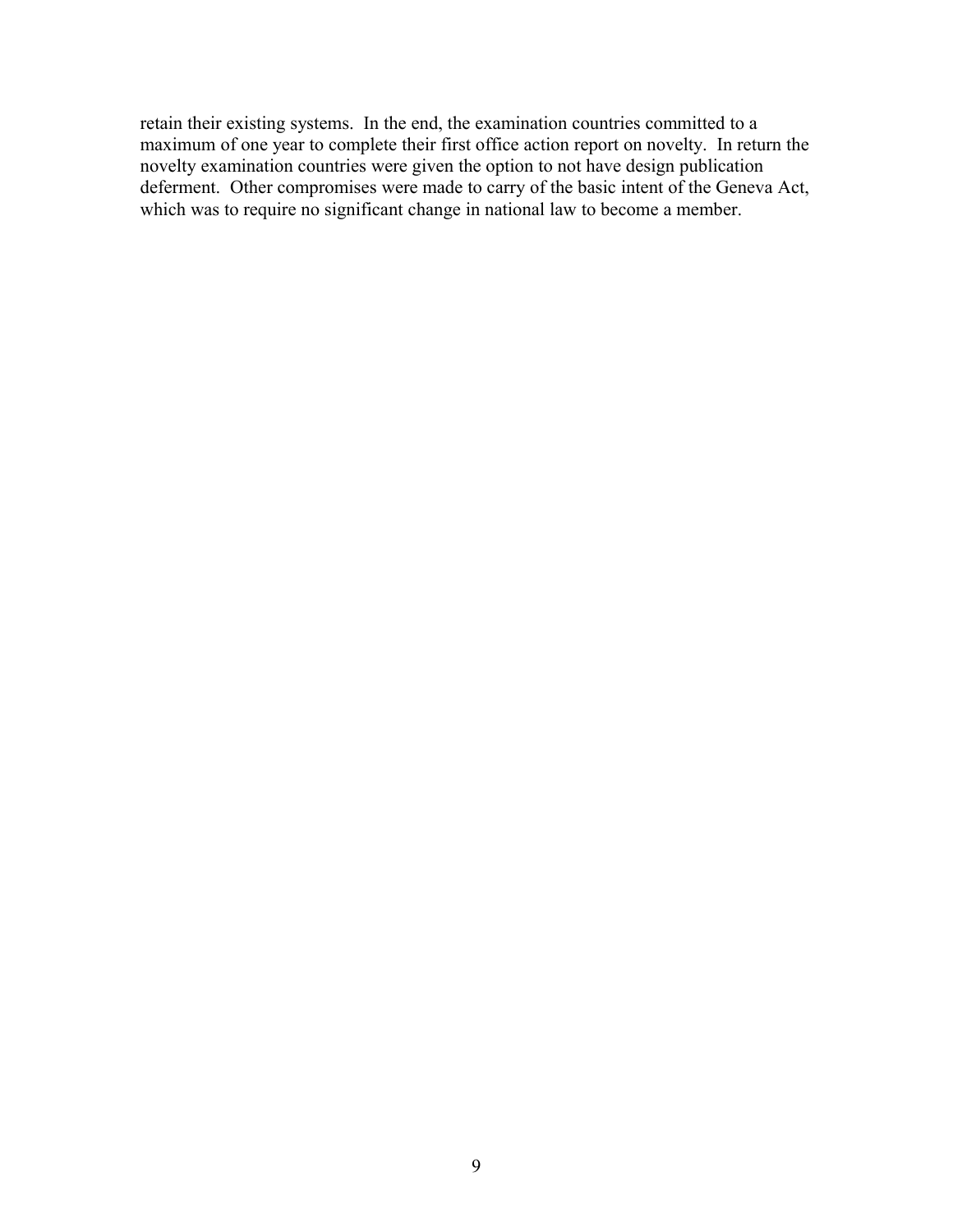retain their existing systems. In the end, the examination countries committed to a maximum of one year to complete their first office action report on novelty. In return the novelty examination countries were given the option to not have design publication deferment. Other compromises were made to carry of the basic intent of the Geneva Act, which was to require no significant change in national law to become a member.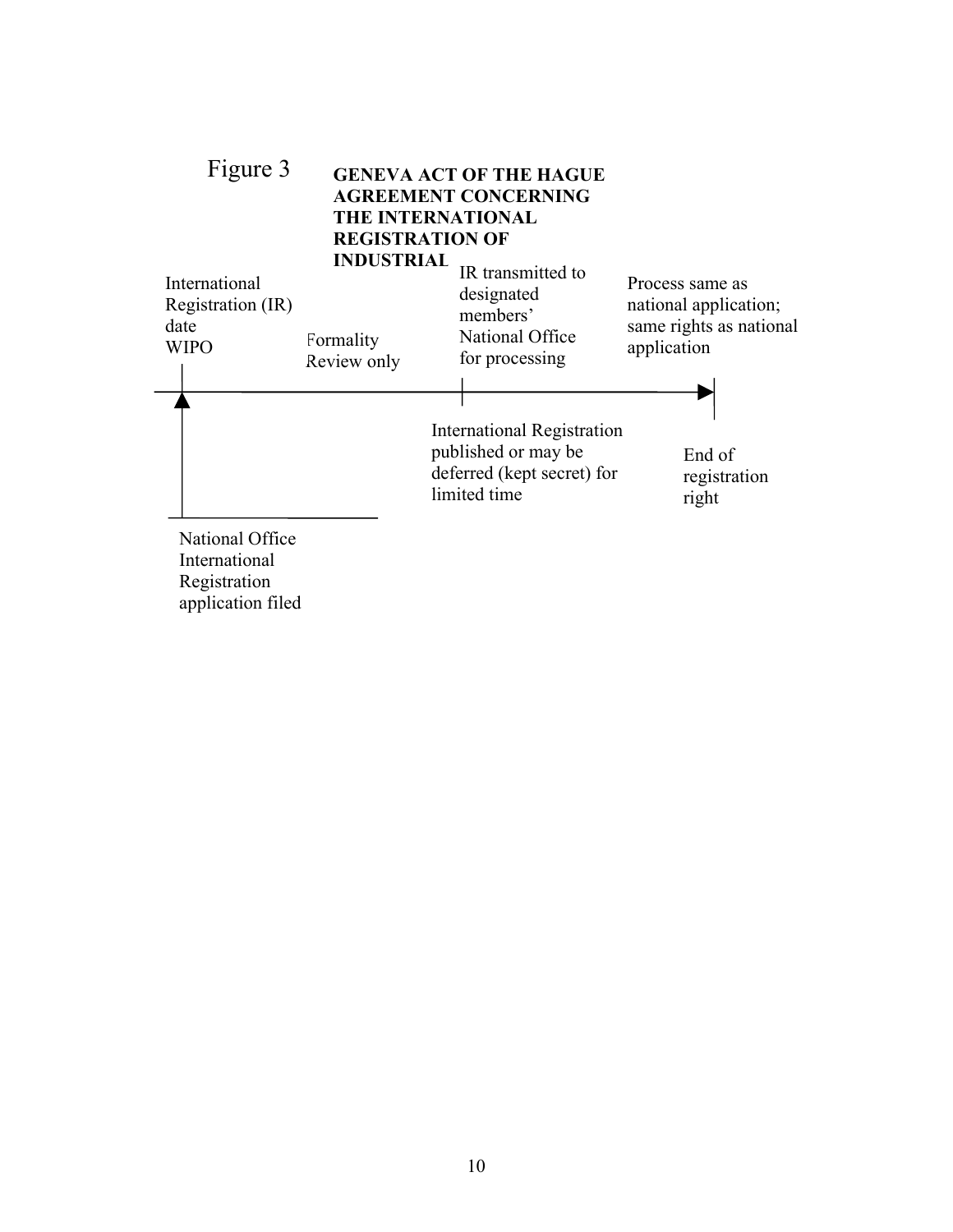

Registration application filed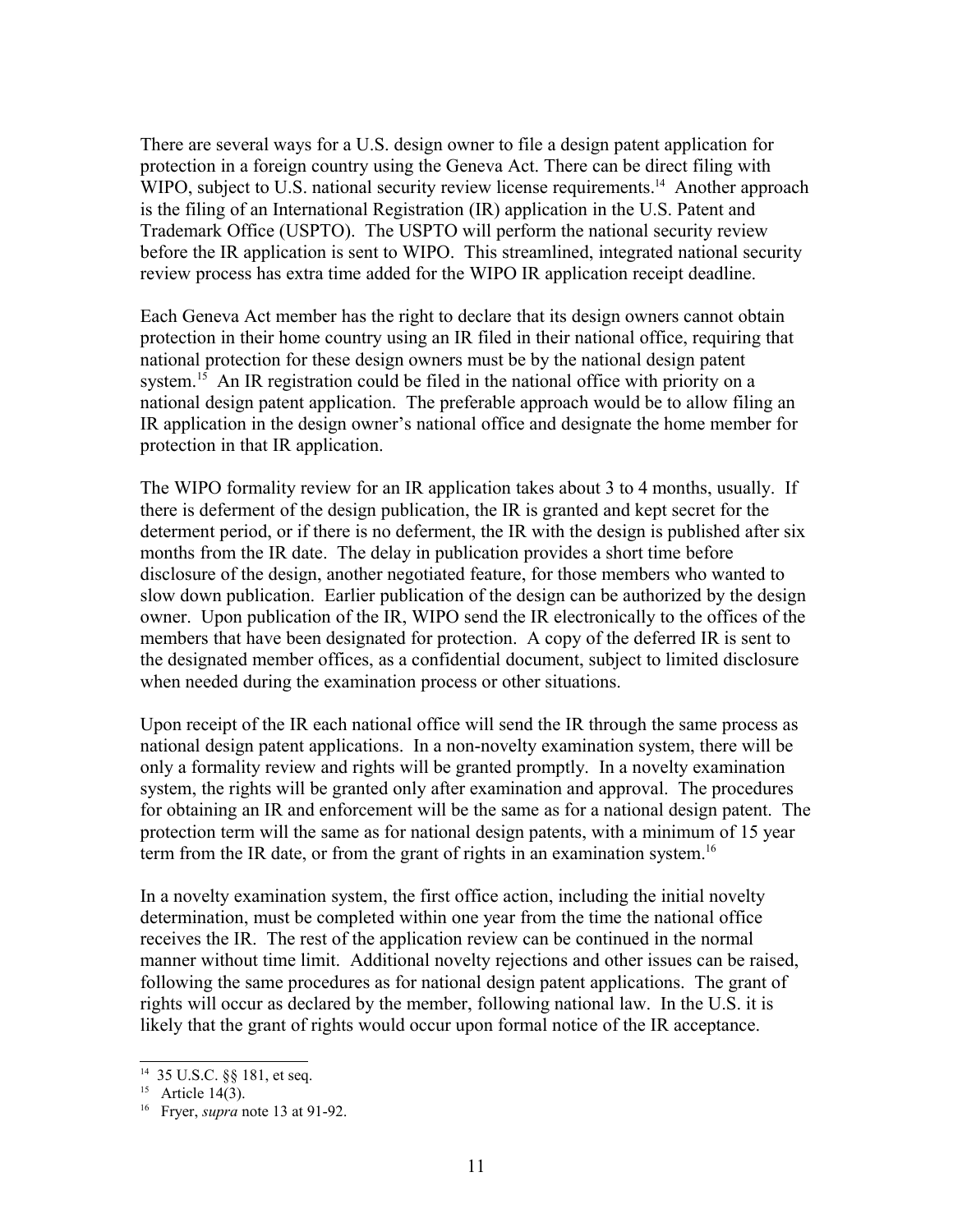There are several ways for a U.S. design owner to file a design patent application for protection in a foreign country using the Geneva Act. There can be direct filing with WIPO, subject to U.S. national security review license requirements.<sup>[14](#page-10-0)</sup> Another approach is the filing of an International Registration (IR) application in the U.S. Patent and Trademark Office (USPTO). The USPTO will perform the national security review before the IR application is sent to WIPO. This streamlined, integrated national security review process has extra time added for the WIPO IR application receipt deadline.

Each Geneva Act member has the right to declare that its design owners cannot obtain protection in their home country using an IR filed in their national office, requiring that national protection for these design owners must be by the national design patent system.<sup>[15](#page-10-1)</sup> An IR registration could be filed in the national office with priority on a national design patent application. The preferable approach would be to allow filing an IR application in the design owner's national office and designate the home member for protection in that IR application.

The WIPO formality review for an IR application takes about 3 to 4 months, usually. If there is deferment of the design publication, the IR is granted and kept secret for the determent period, or if there is no deferment, the IR with the design is published after six months from the IR date. The delay in publication provides a short time before disclosure of the design, another negotiated feature, for those members who wanted to slow down publication. Earlier publication of the design can be authorized by the design owner. Upon publication of the IR, WIPO send the IR electronically to the offices of the members that have been designated for protection. A copy of the deferred IR is sent to the designated member offices, as a confidential document, subject to limited disclosure when needed during the examination process or other situations.

Upon receipt of the IR each national office will send the IR through the same process as national design patent applications. In a non-novelty examination system, there will be only a formality review and rights will be granted promptly. In a novelty examination system, the rights will be granted only after examination and approval. The procedures for obtaining an IR and enforcement will be the same as for a national design patent. The protection term will the same as for national design patents, with a minimum of 15 year term from the IR date, or from the grant of rights in an examination system.<sup>[16](#page-10-2)</sup>

In a novelty examination system, the first office action, including the initial novelty determination, must be completed within one year from the time the national office receives the IR. The rest of the application review can be continued in the normal manner without time limit. Additional novelty rejections and other issues can be raised, following the same procedures as for national design patent applications. The grant of rights will occur as declared by the member, following national law. In the U.S. it is likely that the grant of rights would occur upon formal notice of the IR acceptance.

<span id="page-10-0"></span><sup>14</sup> 35 U.S.C. §§ 181, et seq.

<span id="page-10-1"></span><sup>&</sup>lt;sup>15</sup> Article 14(3).

<span id="page-10-2"></span><sup>16</sup> Fryer, *supra* note 13 at 91-92.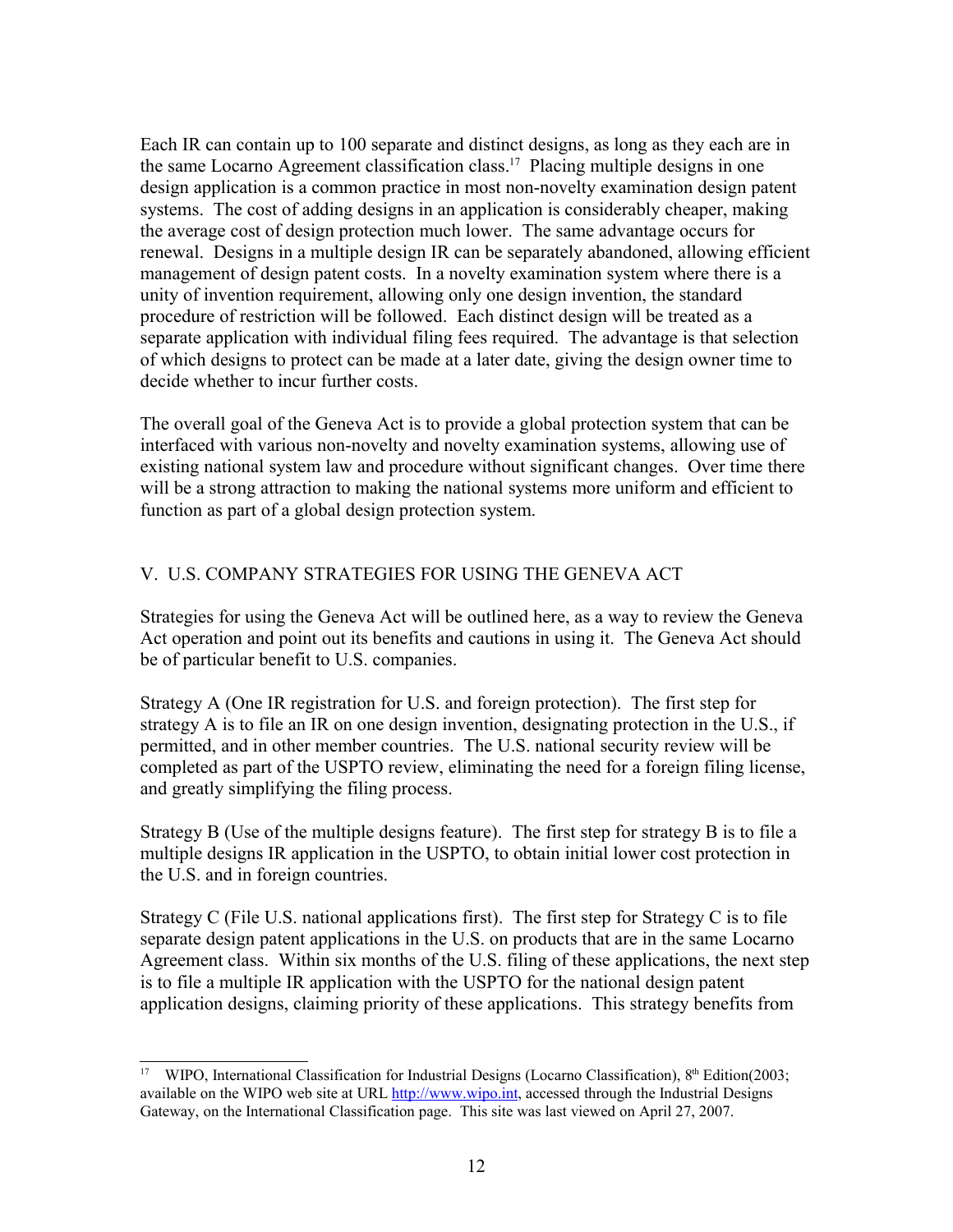Each IR can contain up to 100 separate and distinct designs, as long as they each are in the same Locarno Agreement classification class.[17](#page-11-0) Placing multiple designs in one design application is a common practice in most non-novelty examination design patent systems. The cost of adding designs in an application is considerably cheaper, making the average cost of design protection much lower. The same advantage occurs for renewal. Designs in a multiple design IR can be separately abandoned, allowing efficient management of design patent costs. In a novelty examination system where there is a unity of invention requirement, allowing only one design invention, the standard procedure of restriction will be followed. Each distinct design will be treated as a separate application with individual filing fees required. The advantage is that selection of which designs to protect can be made at a later date, giving the design owner time to decide whether to incur further costs.

The overall goal of the Geneva Act is to provide a global protection system that can be interfaced with various non-novelty and novelty examination systems, allowing use of existing national system law and procedure without significant changes. Over time there will be a strong attraction to making the national systems more uniform and efficient to function as part of a global design protection system.

# V. U.S. COMPANY STRATEGIES FOR USING THE GENEVA ACT

Strategies for using the Geneva Act will be outlined here, as a way to review the Geneva Act operation and point out its benefits and cautions in using it. The Geneva Act should be of particular benefit to U.S. companies.

Strategy A (One IR registration for U.S. and foreign protection). The first step for strategy A is to file an IR on one design invention, designating protection in the U.S., if permitted, and in other member countries. The U.S. national security review will be completed as part of the USPTO review, eliminating the need for a foreign filing license, and greatly simplifying the filing process.

Strategy B (Use of the multiple designs feature). The first step for strategy B is to file a multiple designs IR application in the USPTO, to obtain initial lower cost protection in the U.S. and in foreign countries.

Strategy C (File U.S. national applications first). The first step for Strategy C is to file separate design patent applications in the U.S. on products that are in the same Locarno Agreement class. Within six months of the U.S. filing of these applications, the next step is to file a multiple IR application with the USPTO for the national design patent application designs, claiming priority of these applications. This strategy benefits from

<span id="page-11-0"></span><sup>&</sup>lt;sup>17</sup> WIPO, International Classification for Industrial Designs (Locarno Classification), 8<sup>th</sup> Edition(2003; available on the WIPO web site at URL [http://www.wipo.int,](http://www.wipo.int/) accessed through the Industrial Designs Gateway, on the International Classification page. This site was last viewed on April 27, 2007.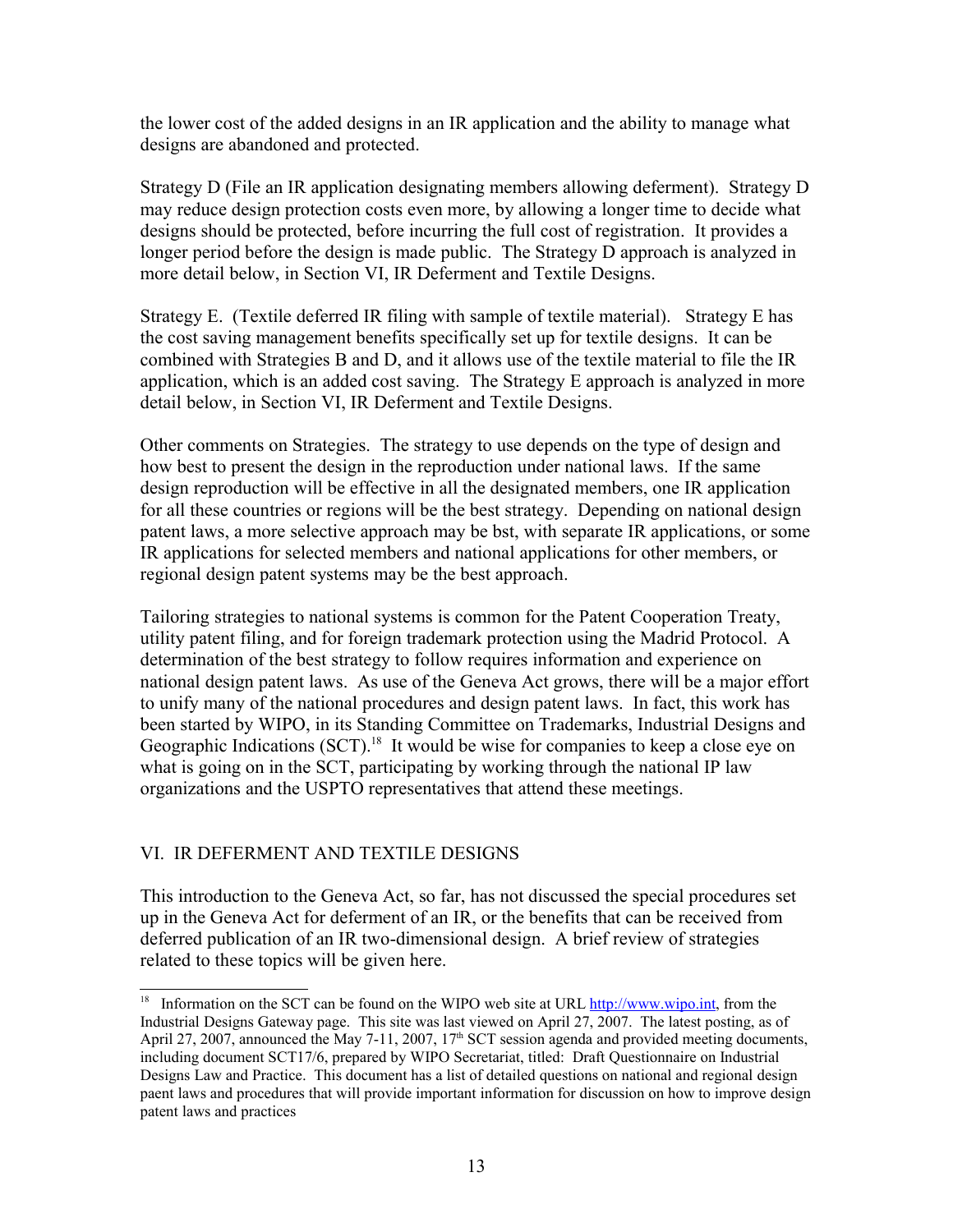the lower cost of the added designs in an IR application and the ability to manage what designs are abandoned and protected.

Strategy D (File an IR application designating members allowing deferment). Strategy D may reduce design protection costs even more, by allowing a longer time to decide what designs should be protected, before incurring the full cost of registration. It provides a longer period before the design is made public. The Strategy D approach is analyzed in more detail below, in Section VI, IR Deferment and Textile Designs.

Strategy E. (Textile deferred IR filing with sample of textile material). Strategy E has the cost saving management benefits specifically set up for textile designs. It can be combined with Strategies B and D, and it allows use of the textile material to file the IR application, which is an added cost saving. The Strategy E approach is analyzed in more detail below, in Section VI, IR Deferment and Textile Designs.

Other comments on Strategies. The strategy to use depends on the type of design and how best to present the design in the reproduction under national laws. If the same design reproduction will be effective in all the designated members, one IR application for all these countries or regions will be the best strategy. Depending on national design patent laws, a more selective approach may be bst, with separate IR applications, or some IR applications for selected members and national applications for other members, or regional design patent systems may be the best approach.

Tailoring strategies to national systems is common for the Patent Cooperation Treaty, utility patent filing, and for foreign trademark protection using the Madrid Protocol. A determination of the best strategy to follow requires information and experience on national design patent laws. As use of the Geneva Act grows, there will be a major effort to unify many of the national procedures and design patent laws. In fact, this work has been started by WIPO, in its Standing Committee on Trademarks, Industrial Designs and Geographic Indications (SCT).<sup>[18](#page-12-0)</sup> It would be wise for companies to keep a close eye on what is going on in the SCT, participating by working through the national IP law organizations and the USPTO representatives that attend these meetings.

# VI. IR DEFERMENT AND TEXTILE DESIGNS

This introduction to the Geneva Act, so far, has not discussed the special procedures set up in the Geneva Act for deferment of an IR, or the benefits that can be received from deferred publication of an IR two-dimensional design. A brief review of strategies related to these topics will be given here.

<span id="page-12-0"></span><sup>&</sup>lt;sup>18</sup> Information on the SCT can be found on the WIPO web site at URL [http://www.wipo.int,](http://www.wipo.int/) from the Industrial Designs Gateway page. This site was last viewed on April 27, 2007. The latest posting, as of April 27, 2007, announced the May 7-11, 2007,  $17<sup>th</sup>$  SCT session agenda and provided meeting documents, including document SCT17/6, prepared by WIPO Secretariat, titled: Draft Questionnaire on Industrial Designs Law and Practice. This document has a list of detailed questions on national and regional design paent laws and procedures that will provide important information for discussion on how to improve design patent laws and practices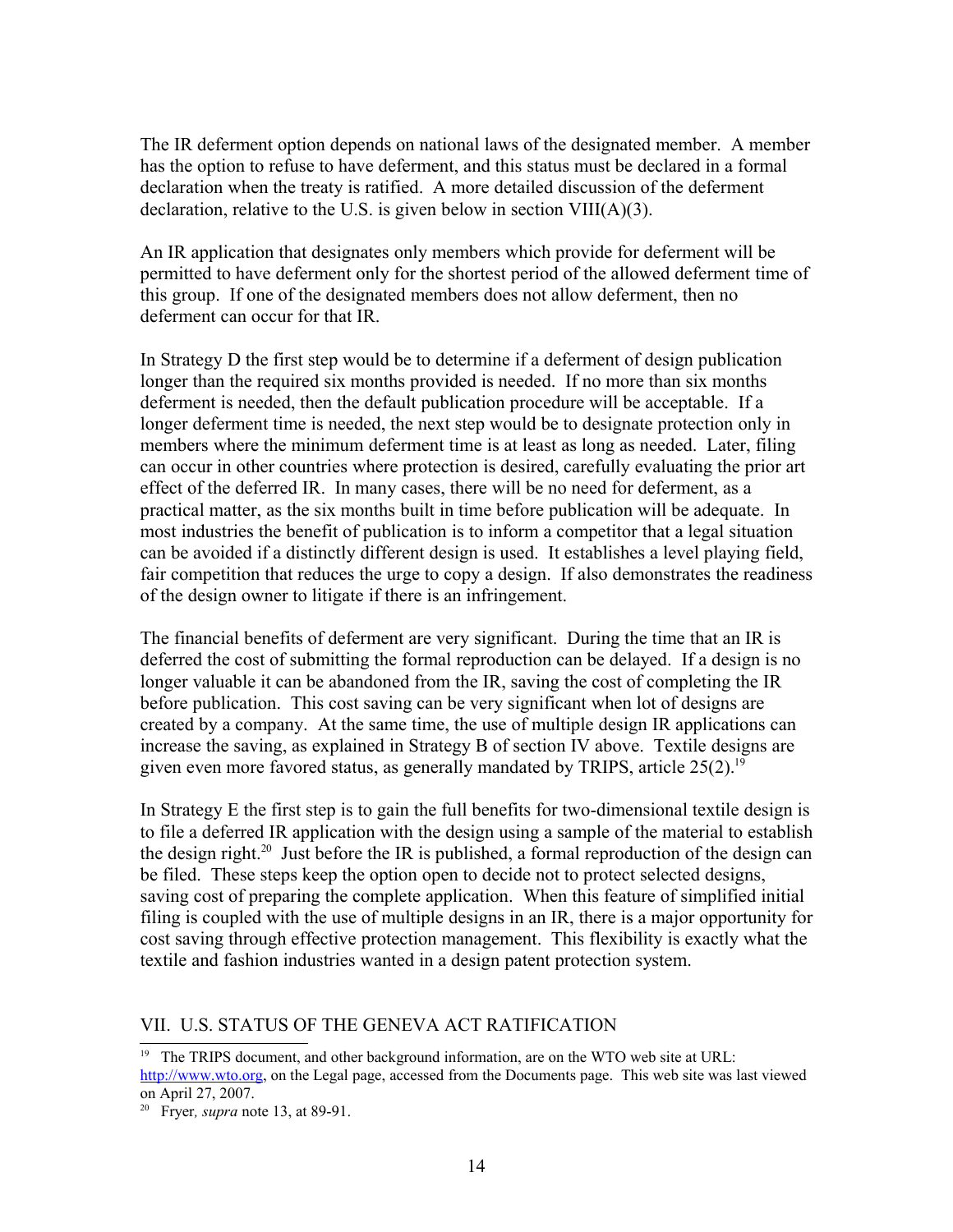The IR deferment option depends on national laws of the designated member. A member has the option to refuse to have deferment, and this status must be declared in a formal declaration when the treaty is ratified. A more detailed discussion of the deferment declaration, relative to the U.S. is given below in section VIII(A)(3).

An IR application that designates only members which provide for deferment will be permitted to have deferment only for the shortest period of the allowed deferment time of this group. If one of the designated members does not allow deferment, then no deferment can occur for that IR.

In Strategy D the first step would be to determine if a deferment of design publication longer than the required six months provided is needed. If no more than six months deferment is needed, then the default publication procedure will be acceptable. If a longer deferment time is needed, the next step would be to designate protection only in members where the minimum deferment time is at least as long as needed. Later, filing can occur in other countries where protection is desired, carefully evaluating the prior art effect of the deferred IR. In many cases, there will be no need for deferment, as a practical matter, as the six months built in time before publication will be adequate. In most industries the benefit of publication is to inform a competitor that a legal situation can be avoided if a distinctly different design is used. It establishes a level playing field, fair competition that reduces the urge to copy a design. If also demonstrates the readiness of the design owner to litigate if there is an infringement.

The financial benefits of deferment are very significant. During the time that an IR is deferred the cost of submitting the formal reproduction can be delayed. If a design is no longer valuable it can be abandoned from the IR, saving the cost of completing the IR before publication. This cost saving can be very significant when lot of designs are created by a company. At the same time, the use of multiple design IR applications can increase the saving, as explained in Strategy B of section IV above. Textile designs are given even more favored status, as generally mandated by TRIPS, article  $25(2)$ .<sup>[19](#page-13-0)</sup>

In Strategy E the first step is to gain the full benefits for two-dimensional textile design is to file a deferred IR application with the design using a sample of the material to establish the design right.<sup>[20](#page-13-1)</sup> Just before the IR is published, a formal reproduction of the design can be filed. These steps keep the option open to decide not to protect selected designs, saving cost of preparing the complete application. When this feature of simplified initial filing is coupled with the use of multiple designs in an IR, there is a major opportunity for cost saving through effective protection management. This flexibility is exactly what the textile and fashion industries wanted in a design patent protection system.

### VII. U.S. STATUS OF THE GENEVA ACT RATIFICATION

<span id="page-13-0"></span><sup>19</sup> The TRIPS document, and other background information, are on the WTO web site at URL:

[http://www.wto.org,](http://www.wto.org/) on the Legal page, accessed from the Documents page. This web site was last viewed on April 27, 2007.

<span id="page-13-1"></span><sup>20</sup> Fryer*, supra* note 13, at 89-91.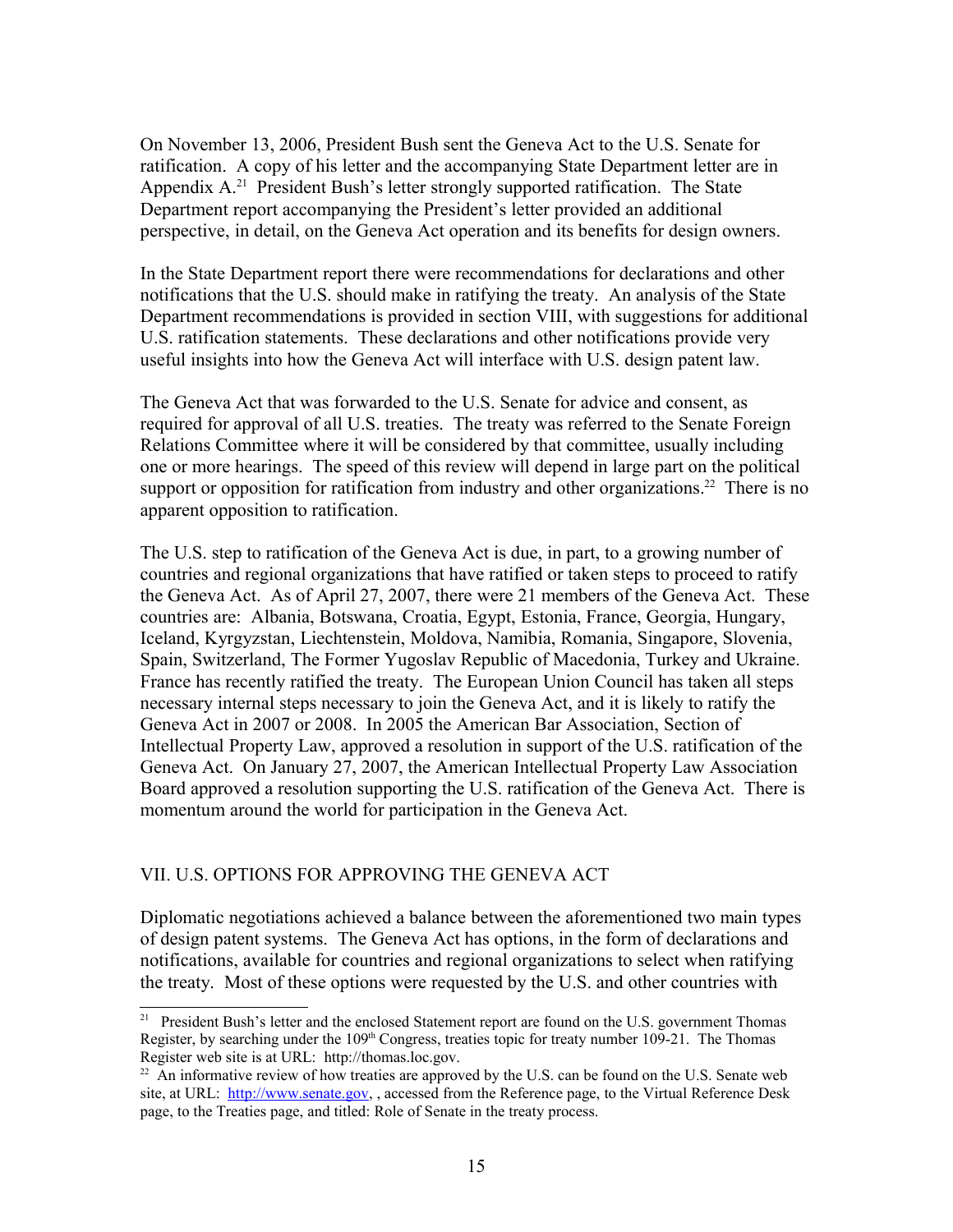On November 13, 2006, President Bush sent the Geneva Act to the U.S. Senate for ratification. A copy of his letter and the accompanying State Department letter are in Appendix A.<sup>[21](#page-14-0)</sup> President Bush's letter strongly supported ratification. The State Department report accompanying the President's letter provided an additional perspective, in detail, on the Geneva Act operation and its benefits for design owners.

In the State Department report there were recommendations for declarations and other notifications that the U.S. should make in ratifying the treaty. An analysis of the State Department recommendations is provided in section VIII, with suggestions for additional U.S. ratification statements. These declarations and other notifications provide very useful insights into how the Geneva Act will interface with U.S. design patent law.

The Geneva Act that was forwarded to the U.S. Senate for advice and consent, as required for approval of all U.S. treaties. The treaty was referred to the Senate Foreign Relations Committee where it will be considered by that committee, usually including one or more hearings. The speed of this review will depend in large part on the political support or opposition for ratification from industry and other organizations.<sup>[22](#page-14-1)</sup> There is no apparent opposition to ratification.

The U.S. step to ratification of the Geneva Act is due, in part, to a growing number of countries and regional organizations that have ratified or taken steps to proceed to ratify the Geneva Act. As of April 27, 2007, there were 21 members of the Geneva Act. These countries are: Albania, Botswana, Croatia, Egypt, Estonia, France, Georgia, Hungary, Iceland, Kyrgyzstan, Liechtenstein, Moldova, Namibia, Romania, Singapore, Slovenia, Spain, Switzerland, The Former Yugoslav Republic of Macedonia, Turkey and Ukraine. France has recently ratified the treaty. The European Union Council has taken all steps necessary internal steps necessary to join the Geneva Act, and it is likely to ratify the Geneva Act in 2007 or 2008. In 2005 the American Bar Association, Section of Intellectual Property Law, approved a resolution in support of the U.S. ratification of the Geneva Act. On January 27, 2007, the American Intellectual Property Law Association Board approved a resolution supporting the U.S. ratification of the Geneva Act. There is momentum around the world for participation in the Geneva Act.

## VII. U.S. OPTIONS FOR APPROVING THE GENEVA ACT

Diplomatic negotiations achieved a balance between the aforementioned two main types of design patent systems. The Geneva Act has options, in the form of declarations and notifications, available for countries and regional organizations to select when ratifying the treaty. Most of these options were requested by the U.S. and other countries with

<span id="page-14-0"></span><sup>&</sup>lt;sup>21</sup> President Bush's letter and the enclosed Statement report are found on the U.S. government Thomas Register, by searching under the  $109<sup>th</sup>$  Congress, treaties topic for treaty number 109-21. The Thomas Register web site is at URL: http://thomas.loc.gov.

<span id="page-14-1"></span> $^{22}$  An informative review of how treaties are approved by the U.S. can be found on the U.S. Senate web site, at URL: [http://www.senate.gov,](http://www.senate.gov/) , accessed from the Reference page, to the Virtual Reference Desk page, to the Treaties page, and titled: Role of Senate in the treaty process.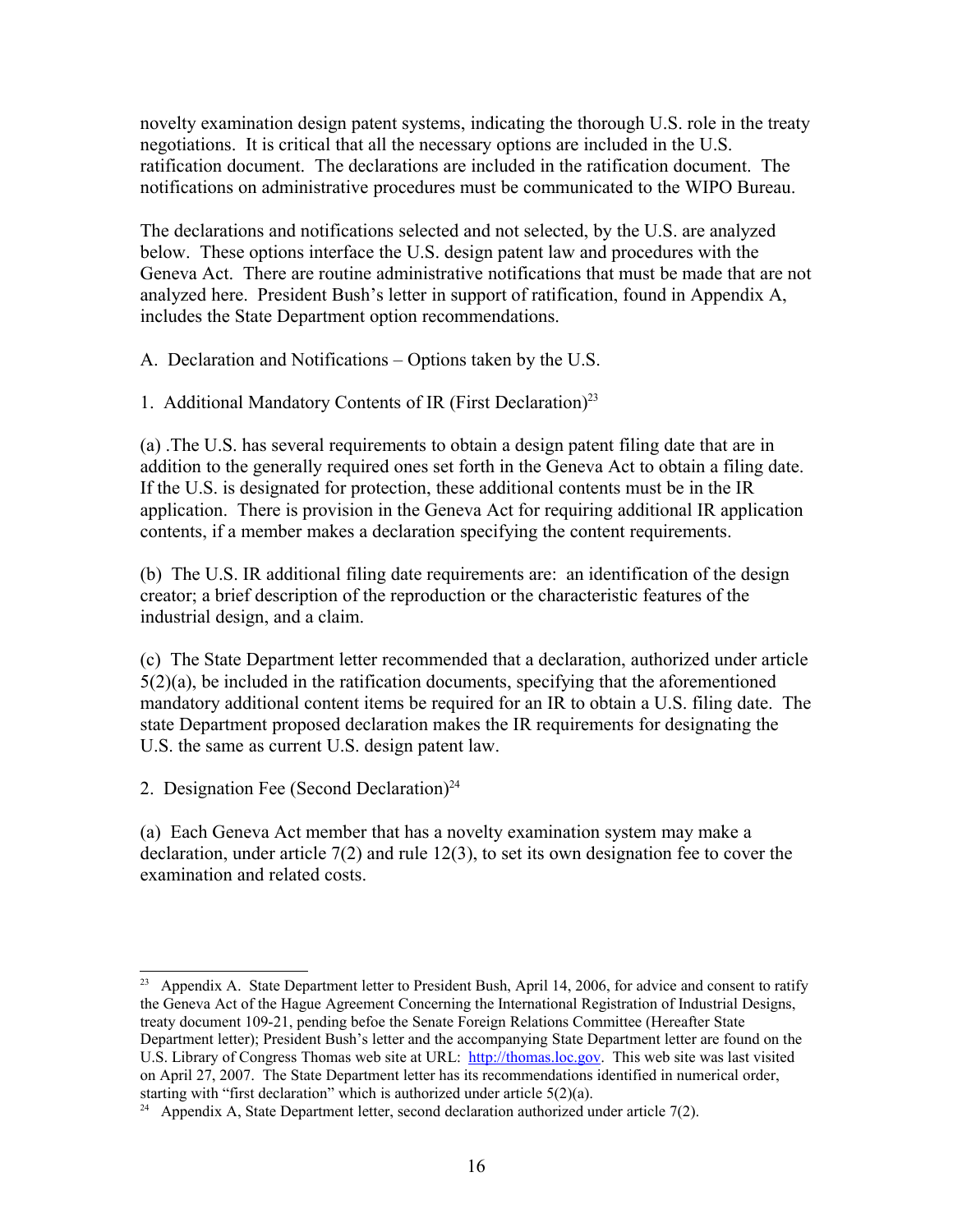novelty examination design patent systems, indicating the thorough U.S. role in the treaty negotiations. It is critical that all the necessary options are included in the U.S. ratification document. The declarations are included in the ratification document. The notifications on administrative procedures must be communicated to the WIPO Bureau.

The declarations and notifications selected and not selected, by the U.S. are analyzed below. These options interface the U.S. design patent law and procedures with the Geneva Act. There are routine administrative notifications that must be made that are not analyzed here. President Bush's letter in support of ratification, found in Appendix A, includes the State Department option recommendations.

A. Declaration and Notifications – Options taken by the U.S.

1. Additional Mandatory Contents of IR (First Declaration)<sup>[23](#page-15-0)</sup>

(a) .The U.S. has several requirements to obtain a design patent filing date that are in addition to the generally required ones set forth in the Geneva Act to obtain a filing date. If the U.S. is designated for protection, these additional contents must be in the IR application. There is provision in the Geneva Act for requiring additional IR application contents, if a member makes a declaration specifying the content requirements.

(b) The U.S. IR additional filing date requirements are: an identification of the design creator; a brief description of the reproduction or the characteristic features of the industrial design, and a claim.

(c) The State Department letter recommended that a declaration, authorized under article 5(2)(a), be included in the ratification documents, specifying that the aforementioned mandatory additional content items be required for an IR to obtain a U.S. filing date. The state Department proposed declaration makes the IR requirements for designating the U.S. the same as current U.S. design patent law.

2. Designation Fee (Second Declaration) $^{24}$  $^{24}$  $^{24}$ 

(a) Each Geneva Act member that has a novelty examination system may make a declaration, under article 7(2) and rule 12(3), to set its own designation fee to cover the examination and related costs.

<span id="page-15-0"></span><sup>&</sup>lt;sup>23</sup> Appendix A. State Department letter to President Bush, April 14, 2006, for advice and consent to ratify the Geneva Act of the Hague Agreement Concerning the International Registration of Industrial Designs, treaty document 109-21, pending befoe the Senate Foreign Relations Committee (Hereafter State Department letter); President Bush's letter and the accompanying State Department letter are found on the U.S. Library of Congress Thomas web site at URL: [http://thomas.loc.gov.](http://thomas.loc.gov/) This web site was last visited on April 27, 2007. The State Department letter has its recommendations identified in numerical order, starting with "first declaration" which is authorized under article 5(2)(a).

<span id="page-15-1"></span><sup>&</sup>lt;sup>24</sup> Appendix A, State Department letter, second declaration authorized under article  $7(2)$ .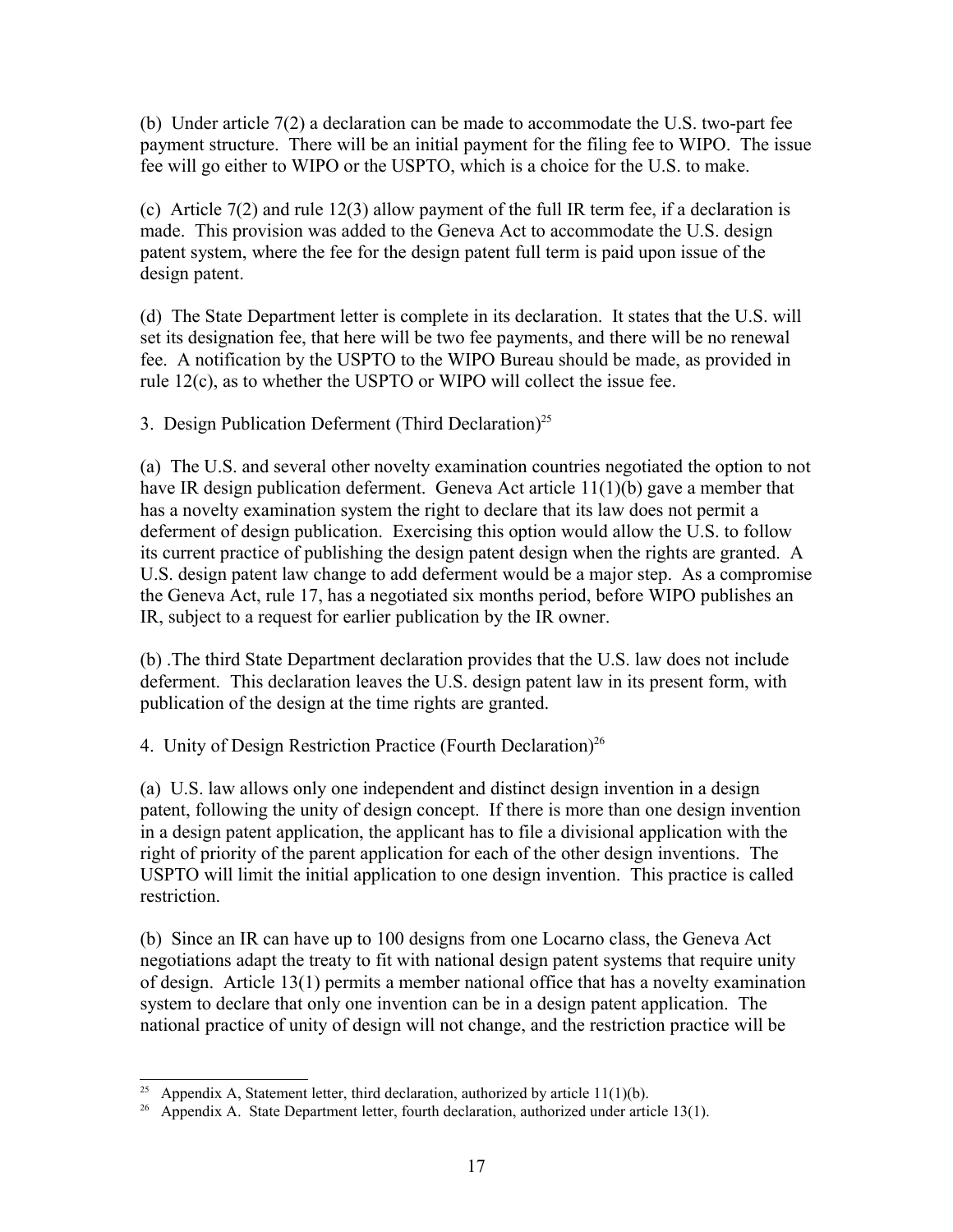(b) Under article 7(2) a declaration can be made to accommodate the U.S. two-part fee payment structure. There will be an initial payment for the filing fee to WIPO. The issue fee will go either to WIPO or the USPTO, which is a choice for the U.S. to make.

(c) Article 7(2) and rule 12(3) allow payment of the full IR term fee, if a declaration is made. This provision was added to the Geneva Act to accommodate the U.S. design patent system, where the fee for the design patent full term is paid upon issue of the design patent.

(d) The State Department letter is complete in its declaration. It states that the U.S. will set its designation fee, that here will be two fee payments, and there will be no renewal fee. A notification by the USPTO to the WIPO Bureau should be made, as provided in rule 12(c), as to whether the USPTO or WIPO will collect the issue fee.

3. Design Publication Deferment (Third Declaration)<sup>[25](#page-16-0)</sup>

(a) The U.S. and several other novelty examination countries negotiated the option to not have IR design publication deferment. Geneva Act article 11(1)(b) gave a member that has a novelty examination system the right to declare that its law does not permit a deferment of design publication. Exercising this option would allow the U.S. to follow its current practice of publishing the design patent design when the rights are granted. A U.S. design patent law change to add deferment would be a major step. As a compromise the Geneva Act, rule 17, has a negotiated six months period, before WIPO publishes an IR, subject to a request for earlier publication by the IR owner.

(b) .The third State Department declaration provides that the U.S. law does not include deferment. This declaration leaves the U.S. design patent law in its present form, with publication of the design at the time rights are granted.

4. Unity of Design Restriction Practice (Fourth Declaration)<sup>[26](#page-16-1)</sup>

(a) U.S. law allows only one independent and distinct design invention in a design patent, following the unity of design concept. If there is more than one design invention in a design patent application, the applicant has to file a divisional application with the right of priority of the parent application for each of the other design inventions. The USPTO will limit the initial application to one design invention. This practice is called restriction.

(b) Since an IR can have up to 100 designs from one Locarno class, the Geneva Act negotiations adapt the treaty to fit with national design patent systems that require unity of design. Article 13(1) permits a member national office that has a novelty examination system to declare that only one invention can be in a design patent application. The national practice of unity of design will not change, and the restriction practice will be

<span id="page-16-0"></span>Appendix A, Statement letter, third declaration, authorized by article  $11(1)(b)$ .

<span id="page-16-1"></span>Appendix A. State Department letter, fourth declaration, authorized under article 13(1).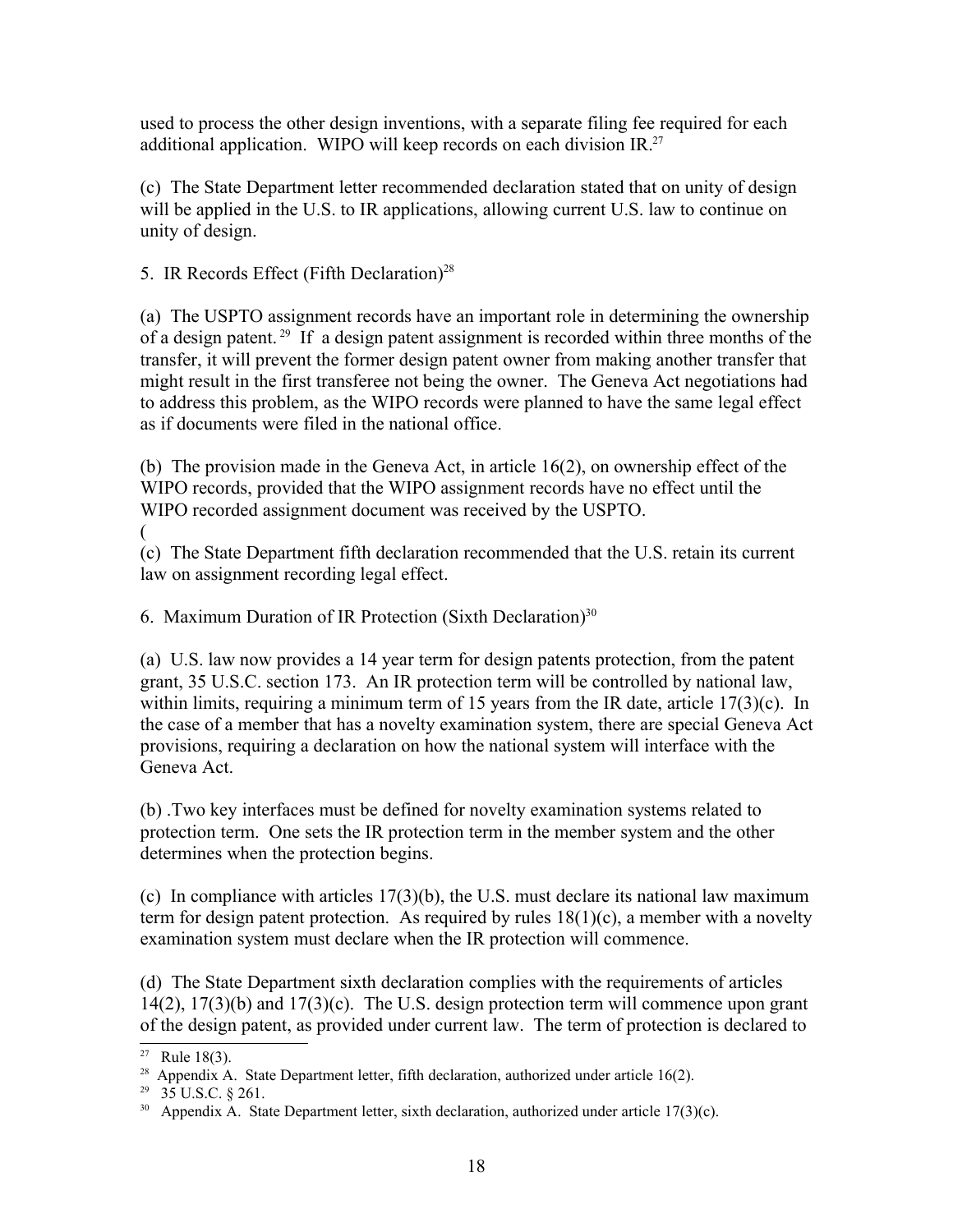used to process the other design inventions, with a separate filing fee required for each additional application. WIPO will keep records on each division IR. $^{27}$  $^{27}$  $^{27}$ 

(c) The State Department letter recommended declaration stated that on unity of design will be applied in the U.S. to IR applications, allowing current U.S. law to continue on unity of design.

5. IR Records Effect (Fifth Declaration)<sup>[28](#page-17-1)</sup>

(a) The USPTO assignment records have an important role in determining the ownership of a design patent. [29](#page-17-2) If a design patent assignment is recorded within three months of the transfer, it will prevent the former design patent owner from making another transfer that might result in the first transferee not being the owner. The Geneva Act negotiations had to address this problem, as the WIPO records were planned to have the same legal effect as if documents were filed in the national office.

(b) The provision made in the Geneva Act, in article 16(2), on ownership effect of the WIPO records, provided that the WIPO assignment records have no effect until the WIPO recorded assignment document was received by the USPTO.

(

(c) The State Department fifth declaration recommended that the U.S. retain its current law on assignment recording legal effect.

6. Maximum Duration of IR Protection (Sixth Declaration)<sup>[30](#page-17-3)</sup>

(a) U.S. law now provides a 14 year term for design patents protection, from the patent grant, 35 U.S.C. section 173. An IR protection term will be controlled by national law, within limits, requiring a minimum term of 15 years from the IR date, article 17(3)(c). In the case of a member that has a novelty examination system, there are special Geneva Act provisions, requiring a declaration on how the national system will interface with the Geneva Act.

(b) .Two key interfaces must be defined for novelty examination systems related to protection term. One sets the IR protection term in the member system and the other determines when the protection begins.

(c) In compliance with articles 17(3)(b), the U.S. must declare its national law maximum term for design patent protection. As required by rules  $18(1)(c)$ , a member with a novelty examination system must declare when the IR protection will commence.

(d) The State Department sixth declaration complies with the requirements of articles  $14(2)$ ,  $17(3)(b)$  and  $17(3)(c)$ . The U.S. design protection term will commence upon grant of the design patent, as provided under current law. The term of protection is declared to

<span id="page-17-0"></span><sup>&</sup>lt;sup>27</sup> Rule 18(3).

<span id="page-17-1"></span><sup>&</sup>lt;sup>28</sup> Appendix A. State Department letter, fifth declaration, authorized under article 16(2).

<span id="page-17-2"></span> $^{29}$  35 U.S.C. § 261.

<span id="page-17-3"></span> $30$  Appendix A. State Department letter, sixth declaration, authorized under article 17(3)(c).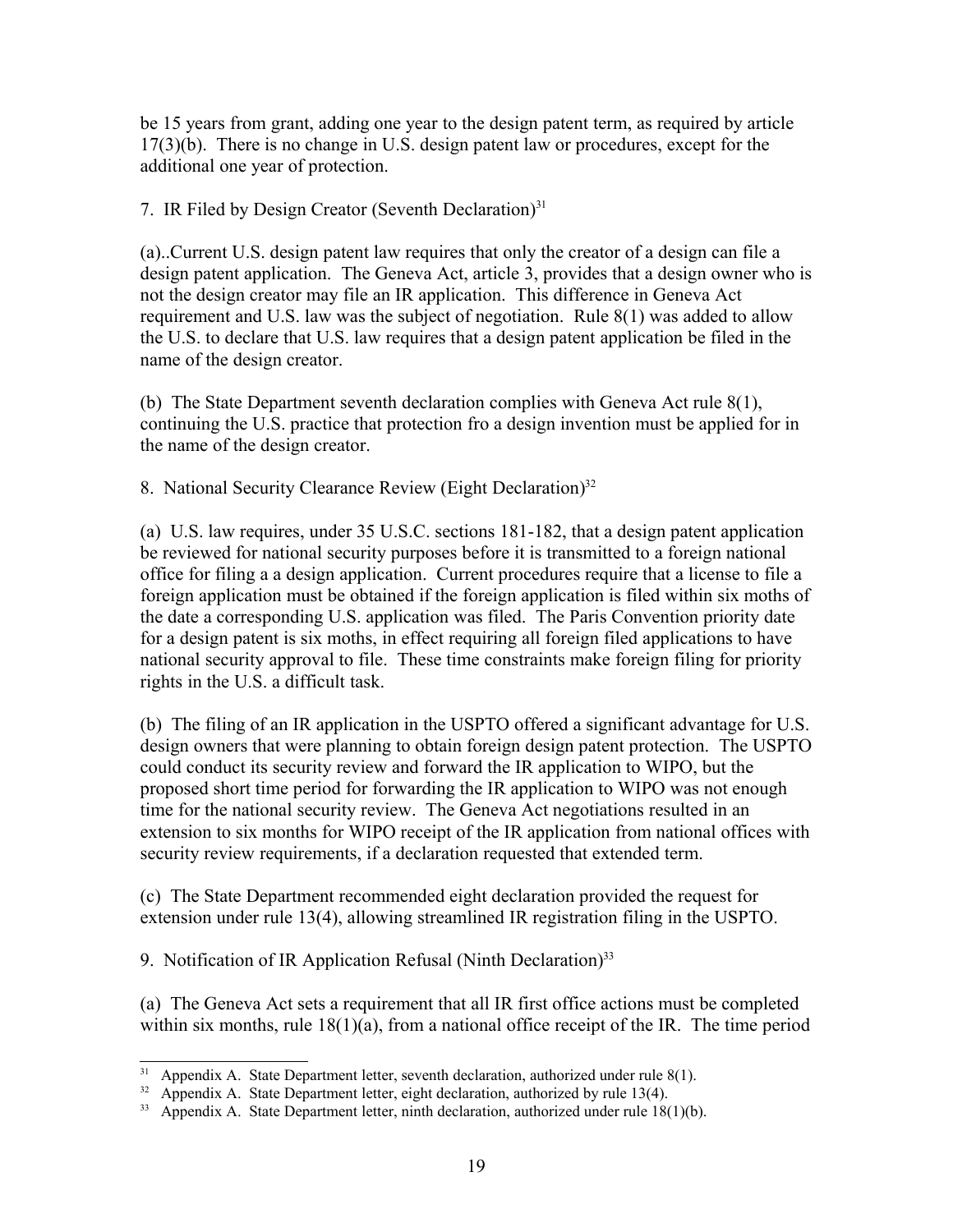be 15 years from grant, adding one year to the design patent term, as required by article 17(3)(b). There is no change in U.S. design patent law or procedures, except for the additional one year of protection.

7. IR Filed by Design Creator (Seventh Declaration) $31$ 

(a)..Current U.S. design patent law requires that only the creator of a design can file a design patent application. The Geneva Act, article 3, provides that a design owner who is not the design creator may file an IR application. This difference in Geneva Act requirement and U.S. law was the subject of negotiation. Rule 8(1) was added to allow the U.S. to declare that U.S. law requires that a design patent application be filed in the name of the design creator.

(b) The State Department seventh declaration complies with Geneva Act rule 8(1), continuing the U.S. practice that protection fro a design invention must be applied for in the name of the design creator.

8. National Security Clearance Review (Eight Declaration)<sup>[32](#page-18-1)</sup>

(a) U.S. law requires, under 35 U.S.C. sections 181-182, that a design patent application be reviewed for national security purposes before it is transmitted to a foreign national office for filing a a design application. Current procedures require that a license to file a foreign application must be obtained if the foreign application is filed within six moths of the date a corresponding U.S. application was filed. The Paris Convention priority date for a design patent is six moths, in effect requiring all foreign filed applications to have national security approval to file. These time constraints make foreign filing for priority rights in the U.S. a difficult task.

(b) The filing of an IR application in the USPTO offered a significant advantage for U.S. design owners that were planning to obtain foreign design patent protection. The USPTO could conduct its security review and forward the IR application to WIPO, but the proposed short time period for forwarding the IR application to WIPO was not enough time for the national security review. The Geneva Act negotiations resulted in an extension to six months for WIPO receipt of the IR application from national offices with security review requirements, if a declaration requested that extended term.

(c) The State Department recommended eight declaration provided the request for extension under rule 13(4), allowing streamlined IR registration filing in the USPTO.

9. Notification of IR Application Refusal (Ninth Declaration)<sup>[33](#page-18-2)</sup>

(a) The Geneva Act sets a requirement that all IR first office actions must be completed within six months, rule  $18(1)(a)$ , from a national office receipt of the IR. The time period

<span id="page-18-0"></span> $31$  Appendix A. State Department letter, seventh declaration, authorized under rule 8(1).

<span id="page-18-1"></span><sup>&</sup>lt;sup>32</sup> Appendix A. State Department letter, eight declaration, authorized by rule 13(4).

<span id="page-18-2"></span> $33$  Appendix A. State Department letter, ninth declaration, authorized under rule 18(1)(b).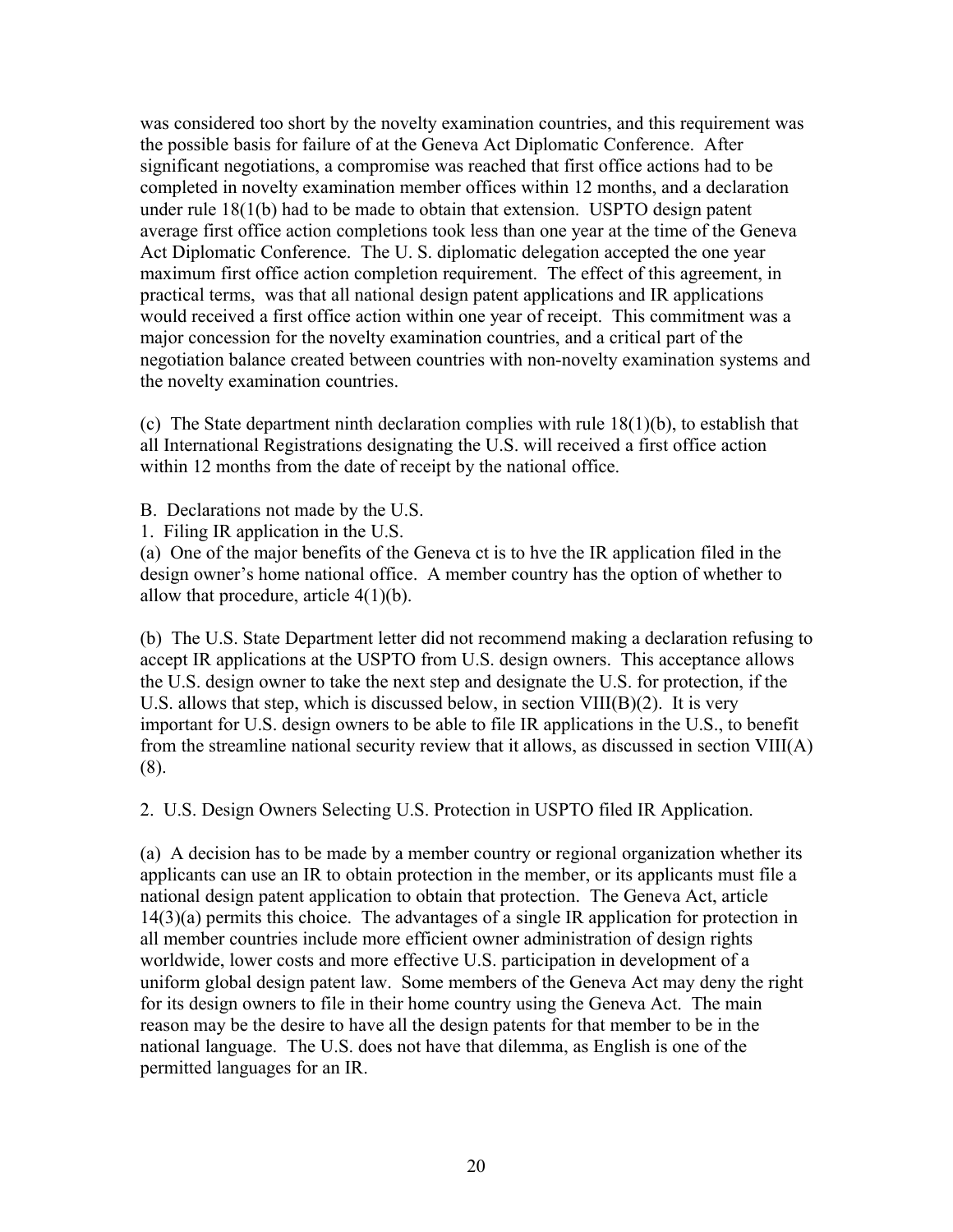was considered too short by the novelty examination countries, and this requirement was the possible basis for failure of at the Geneva Act Diplomatic Conference. After significant negotiations, a compromise was reached that first office actions had to be completed in novelty examination member offices within 12 months, and a declaration under rule 18(1(b) had to be made to obtain that extension. USPTO design patent average first office action completions took less than one year at the time of the Geneva Act Diplomatic Conference. The U. S. diplomatic delegation accepted the one year maximum first office action completion requirement. The effect of this agreement, in practical terms, was that all national design patent applications and IR applications would received a first office action within one year of receipt. This commitment was a major concession for the novelty examination countries, and a critical part of the negotiation balance created between countries with non-novelty examination systems and the novelty examination countries.

(c) The State department ninth declaration complies with rule  $18(1)(b)$ , to establish that all International Registrations designating the U.S. will received a first office action within 12 months from the date of receipt by the national office.

B. Declarations not made by the U.S.

1. Filing IR application in the U.S.

(a) One of the major benefits of the Geneva ct is to hve the IR application filed in the design owner's home national office. A member country has the option of whether to allow that procedure, article  $4(1)(b)$ .

(b) The U.S. State Department letter did not recommend making a declaration refusing to accept IR applications at the USPTO from U.S. design owners. This acceptance allows the U.S. design owner to take the next step and designate the U.S. for protection, if the U.S. allows that step, which is discussed below, in section  $VIII(B)(2)$ . It is very important for U.S. design owners to be able to file IR applications in the U.S., to benefit from the streamline national security review that it allows, as discussed in section VIII(A) (8).

2. U.S. Design Owners Selecting U.S. Protection in USPTO filed IR Application.

(a) A decision has to be made by a member country or regional organization whether its applicants can use an IR to obtain protection in the member, or its applicants must file a national design patent application to obtain that protection. The Geneva Act, article 14(3)(a) permits this choice. The advantages of a single IR application for protection in all member countries include more efficient owner administration of design rights worldwide, lower costs and more effective U.S. participation in development of a uniform global design patent law. Some members of the Geneva Act may deny the right for its design owners to file in their home country using the Geneva Act. The main reason may be the desire to have all the design patents for that member to be in the national language. The U.S. does not have that dilemma, as English is one of the permitted languages for an IR.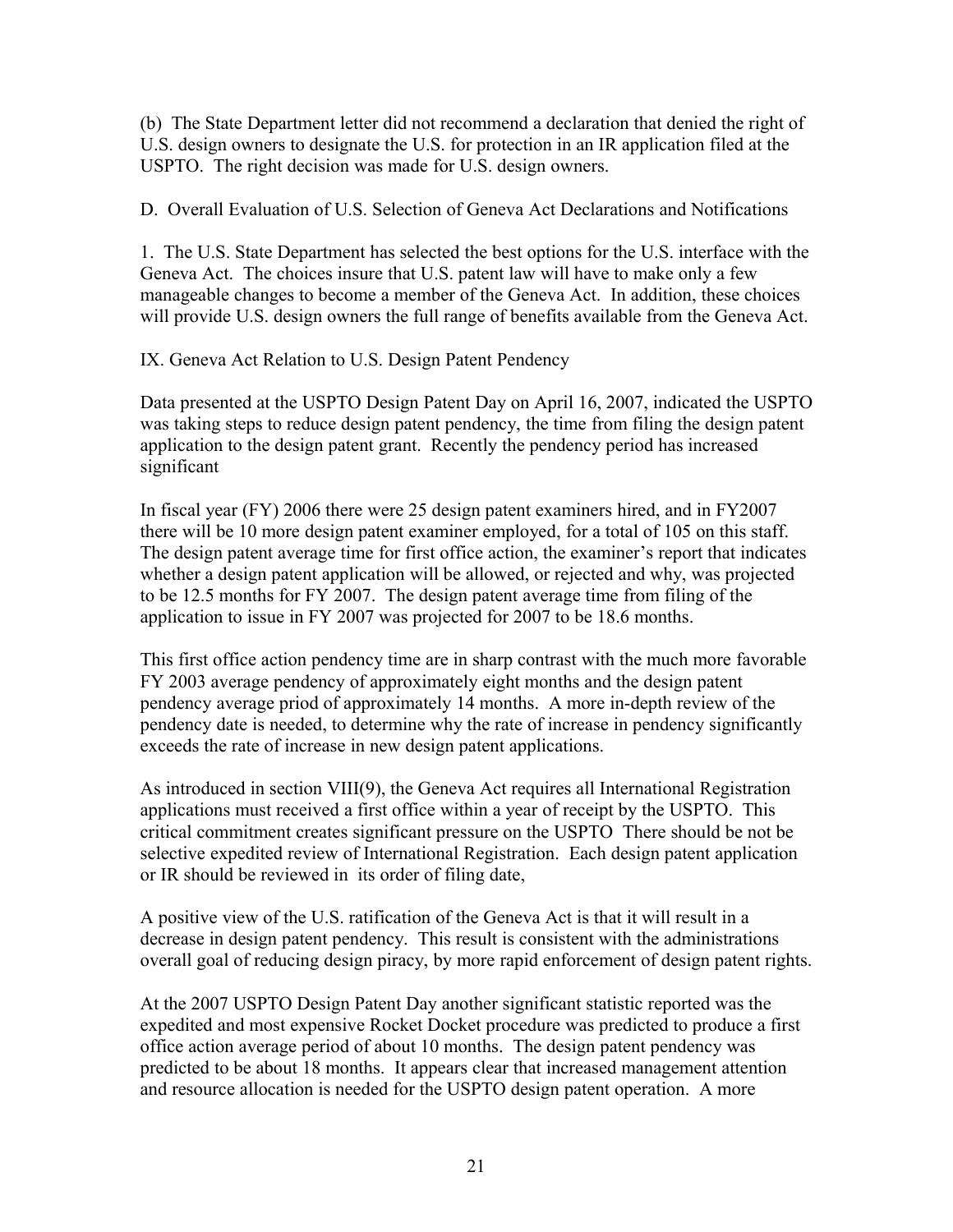(b) The State Department letter did not recommend a declaration that denied the right of U.S. design owners to designate the U.S. for protection in an IR application filed at the USPTO. The right decision was made for U.S. design owners.

D. Overall Evaluation of U.S. Selection of Geneva Act Declarations and Notifications

1. The U.S. State Department has selected the best options for the U.S. interface with the Geneva Act. The choices insure that U.S. patent law will have to make only a few manageable changes to become a member of the Geneva Act. In addition, these choices will provide U.S. design owners the full range of benefits available from the Geneva Act.

IX. Geneva Act Relation to U.S. Design Patent Pendency

Data presented at the USPTO Design Patent Day on April 16, 2007, indicated the USPTO was taking steps to reduce design patent pendency, the time from filing the design patent application to the design patent grant. Recently the pendency period has increased significant

In fiscal year (FY) 2006 there were 25 design patent examiners hired, and in FY2007 there will be 10 more design patent examiner employed, for a total of 105 on this staff. The design patent average time for first office action, the examiner's report that indicates whether a design patent application will be allowed, or rejected and why, was projected to be 12.5 months for FY 2007. The design patent average time from filing of the application to issue in FY 2007 was projected for 2007 to be 18.6 months.

This first office action pendency time are in sharp contrast with the much more favorable FY 2003 average pendency of approximately eight months and the design patent pendency average priod of approximately 14 months. A more in-depth review of the pendency date is needed, to determine why the rate of increase in pendency significantly exceeds the rate of increase in new design patent applications.

As introduced in section VIII(9), the Geneva Act requires all International Registration applications must received a first office within a year of receipt by the USPTO. This critical commitment creates significant pressure on the USPTO There should be not be selective expedited review of International Registration. Each design patent application or IR should be reviewed in its order of filing date,

A positive view of the U.S. ratification of the Geneva Act is that it will result in a decrease in design patent pendency. This result is consistent with the administrations overall goal of reducing design piracy, by more rapid enforcement of design patent rights.

At the 2007 USPTO Design Patent Day another significant statistic reported was the expedited and most expensive Rocket Docket procedure was predicted to produce a first office action average period of about 10 months. The design patent pendency was predicted to be about 18 months. It appears clear that increased management attention and resource allocation is needed for the USPTO design patent operation. A more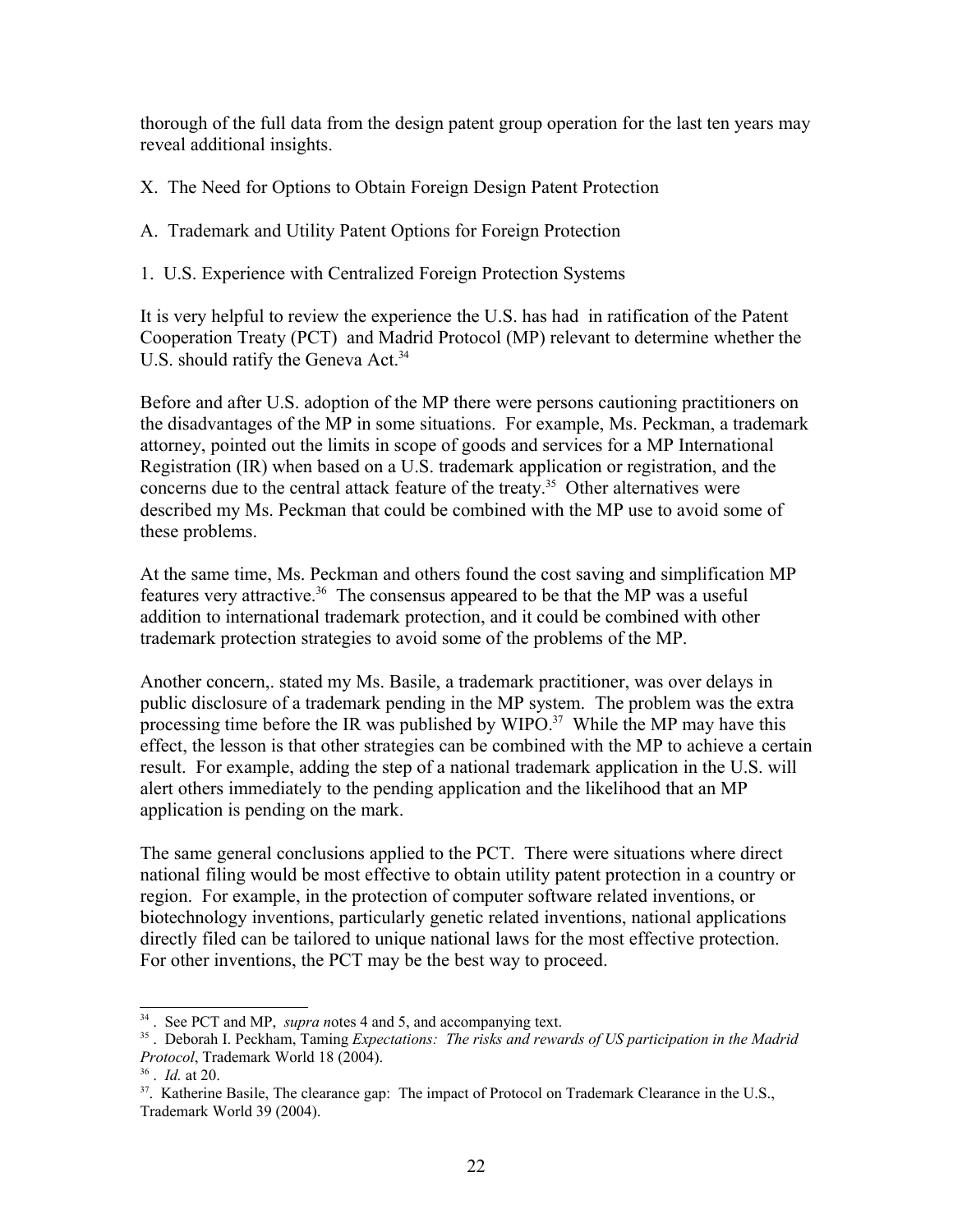thorough of the full data from the design patent group operation for the last ten years may reveal additional insights.

X. The Need for Options to Obtain Foreign Design Patent Protection

A. Trademark and Utility Patent Options for Foreign Protection

1. U.S. Experience with Centralized Foreign Protection Systems

It is very helpful to review the experience the U.S. has had in ratification of the Patent Cooperation Treaty (PCT) and Madrid Protocol (MP) relevant to determine whether the U.S. should ratify the Geneva Act.<sup>[34](#page-21-0)</sup>

Before and after U.S. adoption of the MP there were persons cautioning practitioners on the disadvantages of the MP in some situations. For example, Ms. Peckman, a trademark attorney, pointed out the limits in scope of goods and services for a MP International Registration (IR) when based on a U.S. trademark application or registration, and the concerns due to the central attack feature of the treaty.<sup>[35](#page-21-1)</sup> Other alternatives were described my Ms. Peckman that could be combined with the MP use to avoid some of these problems.

At the same time, Ms. Peckman and others found the cost saving and simplification MP features very attractive.<sup>[36](#page-21-2)</sup> The consensus appeared to be that the MP was a useful addition to international trademark protection, and it could be combined with other trademark protection strategies to avoid some of the problems of the MP.

Another concern,. stated my Ms. Basile, a trademark practitioner, was over delays in public disclosure of a trademark pending in the MP system. The problem was the extra processing time before the IR was published by WIPO.<sup>[37](#page-21-3)</sup> While the MP may have this effect, the lesson is that other strategies can be combined with the MP to achieve a certain result. For example, adding the step of a national trademark application in the U.S. will alert others immediately to the pending application and the likelihood that an MP application is pending on the mark.

The same general conclusions applied to the PCT. There were situations where direct national filing would be most effective to obtain utility patent protection in a country or region. For example, in the protection of computer software related inventions, or biotechnology inventions, particularly genetic related inventions, national applications directly filed can be tailored to unique national laws for the most effective protection. For other inventions, the PCT may be the best way to proceed.

<span id="page-21-0"></span><sup>&</sup>lt;sup>34</sup>. See PCT and MP, *supra notes* 4 and 5, and accompanying text.

<span id="page-21-1"></span><sup>35</sup> . Deborah I. Peckham, Taming *Expectations: The risks and rewards of US participation in the Madrid Protocol*, Trademark World 18 (2004).

<span id="page-21-2"></span><sup>36</sup> . *Id.* at 20.

<span id="page-21-3"></span><sup>&</sup>lt;sup>37</sup>. Katherine Basile, The clearance gap: The impact of Protocol on Trademark Clearance in the U.S., Trademark World 39 (2004).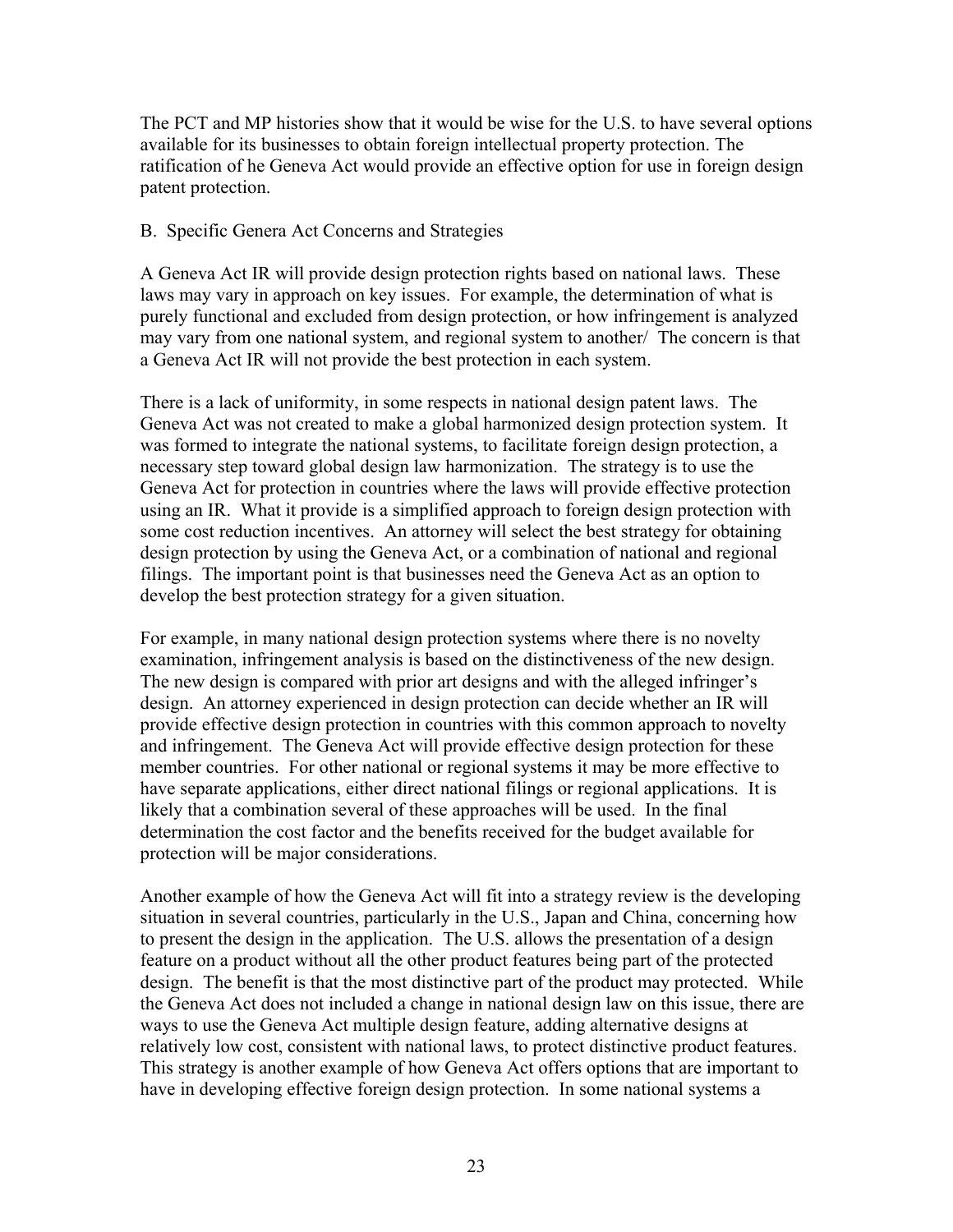The PCT and MP histories show that it would be wise for the U.S. to have several options available for its businesses to obtain foreign intellectual property protection. The ratification of he Geneva Act would provide an effective option for use in foreign design patent protection.

# B. Specific Genera Act Concerns and Strategies

A Geneva Act IR will provide design protection rights based on national laws. These laws may vary in approach on key issues. For example, the determination of what is purely functional and excluded from design protection, or how infringement is analyzed may vary from one national system, and regional system to another/ The concern is that a Geneva Act IR will not provide the best protection in each system.

There is a lack of uniformity, in some respects in national design patent laws. The Geneva Act was not created to make a global harmonized design protection system. It was formed to integrate the national systems, to facilitate foreign design protection, a necessary step toward global design law harmonization. The strategy is to use the Geneva Act for protection in countries where the laws will provide effective protection using an IR. What it provide is a simplified approach to foreign design protection with some cost reduction incentives. An attorney will select the best strategy for obtaining design protection by using the Geneva Act, or a combination of national and regional filings. The important point is that businesses need the Geneva Act as an option to develop the best protection strategy for a given situation.

For example, in many national design protection systems where there is no novelty examination, infringement analysis is based on the distinctiveness of the new design. The new design is compared with prior art designs and with the alleged infringer's design. An attorney experienced in design protection can decide whether an IR will provide effective design protection in countries with this common approach to novelty and infringement. The Geneva Act will provide effective design protection for these member countries. For other national or regional systems it may be more effective to have separate applications, either direct national filings or regional applications. It is likely that a combination several of these approaches will be used. In the final determination the cost factor and the benefits received for the budget available for protection will be major considerations.

Another example of how the Geneva Act will fit into a strategy review is the developing situation in several countries, particularly in the U.S., Japan and China, concerning how to present the design in the application. The U.S. allows the presentation of a design feature on a product without all the other product features being part of the protected design. The benefit is that the most distinctive part of the product may protected. While the Geneva Act does not included a change in national design law on this issue, there are ways to use the Geneva Act multiple design feature, adding alternative designs at relatively low cost, consistent with national laws, to protect distinctive product features. This strategy is another example of how Geneva Act offers options that are important to have in developing effective foreign design protection. In some national systems a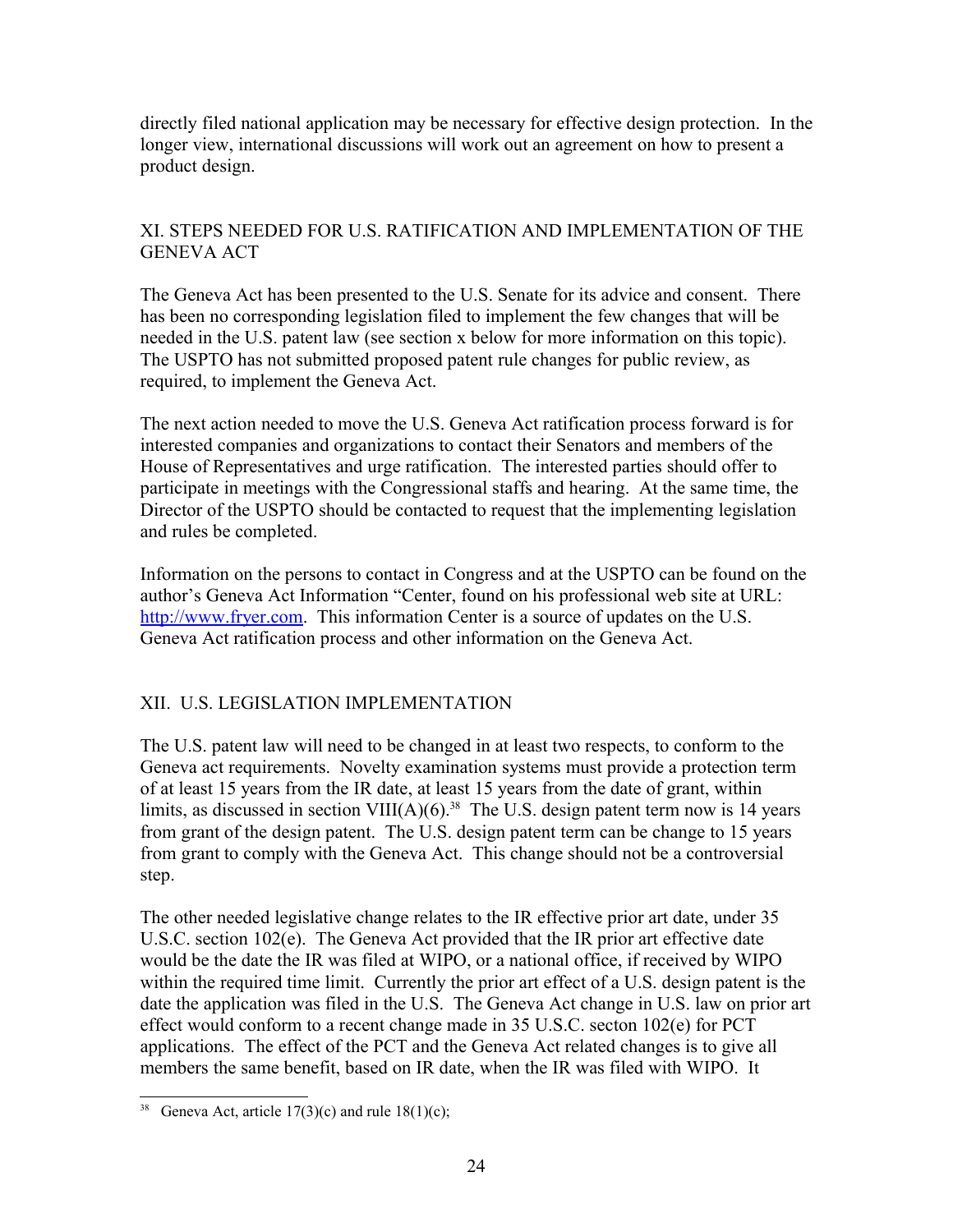directly filed national application may be necessary for effective design protection. In the longer view, international discussions will work out an agreement on how to present a product design.

# XI. STEPS NEEDED FOR U.S. RATIFICATION AND IMPLEMENTATION OF THE GENEVA ACT

The Geneva Act has been presented to the U.S. Senate for its advice and consent. There has been no corresponding legislation filed to implement the few changes that will be needed in the U.S. patent law (see section x below for more information on this topic). The USPTO has not submitted proposed patent rule changes for public review, as required, to implement the Geneva Act.

The next action needed to move the U.S. Geneva Act ratification process forward is for interested companies and organizations to contact their Senators and members of the House of Representatives and urge ratification. The interested parties should offer to participate in meetings with the Congressional staffs and hearing. At the same time, the Director of the USPTO should be contacted to request that the implementing legislation and rules be completed.

Information on the persons to contact in Congress and at the USPTO can be found on the author's Geneva Act Information "Center, found on his professional web site at URL: [http://www.fryer.com.](http://www.fryer.com/) This information Center is a source of updates on the U.S. Geneva Act ratification process and other information on the Geneva Act.

# XII. U.S. LEGISLATION IMPLEMENTATION

The U.S. patent law will need to be changed in at least two respects, to conform to the Geneva act requirements. Novelty examination systems must provide a protection term of at least 15 years from the IR date, at least 15 years from the date of grant, within limits, as discussed in section VIII(A)(6).<sup>[38](#page-23-0)</sup> The U.S. design patent term now is 14 years from grant of the design patent. The U.S. design patent term can be change to 15 years from grant to comply with the Geneva Act. This change should not be a controversial step.

The other needed legislative change relates to the IR effective prior art date, under 35 U.S.C. section 102(e). The Geneva Act provided that the IR prior art effective date would be the date the IR was filed at WIPO, or a national office, if received by WIPO within the required time limit. Currently the prior art effect of a U.S. design patent is the date the application was filed in the U.S. The Geneva Act change in U.S. law on prior art effect would conform to a recent change made in 35 U.S.C. secton 102(e) for PCT applications. The effect of the PCT and the Geneva Act related changes is to give all members the same benefit, based on IR date, when the IR was filed with WIPO. It

<span id="page-23-0"></span><sup>&</sup>lt;sup>38</sup> Geneva Act, article 17(3)(c) and rule 18(1)(c);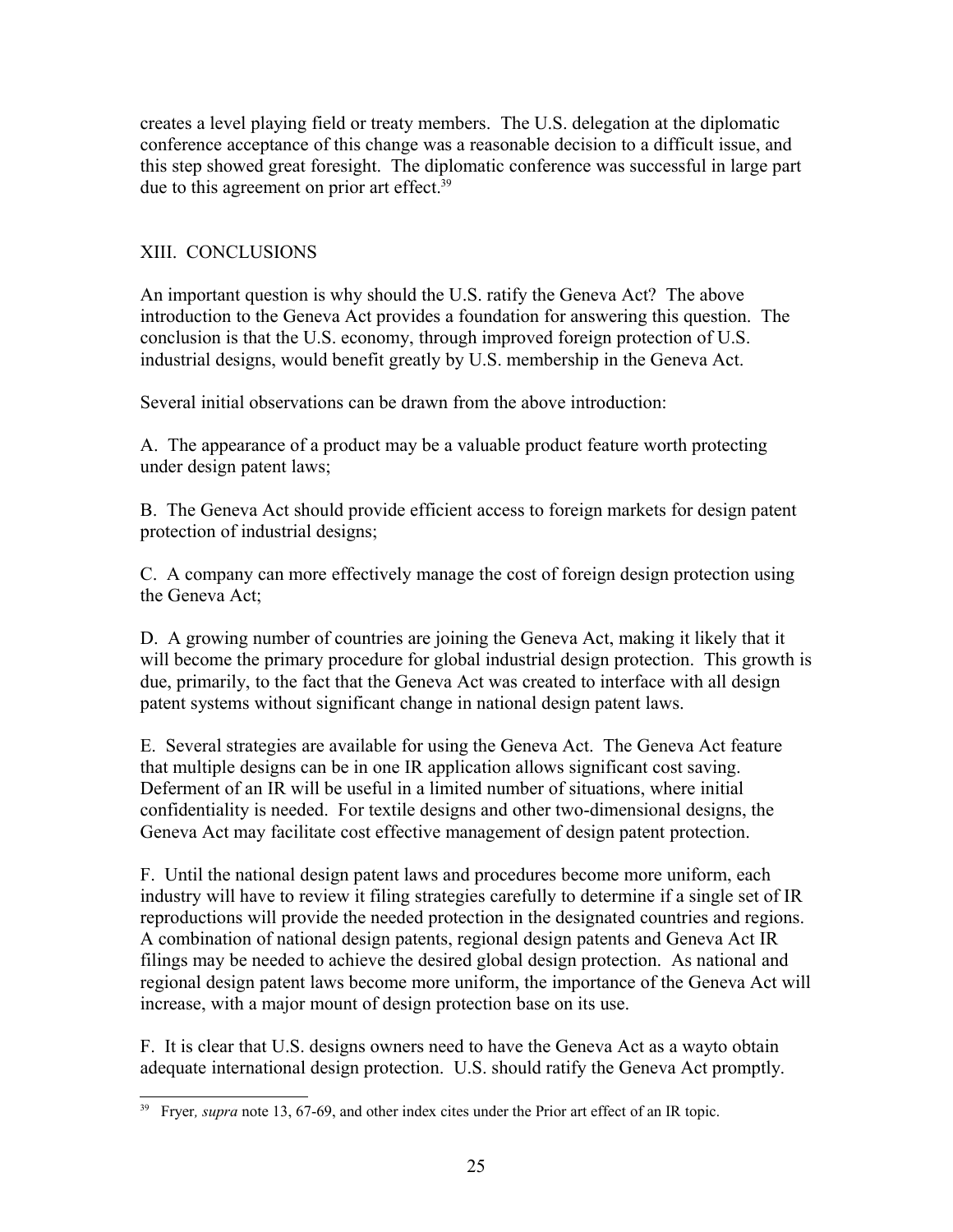creates a level playing field or treaty members. The U.S. delegation at the diplomatic conference acceptance of this change was a reasonable decision to a difficult issue, and this step showed great foresight. The diplomatic conference was successful in large part due to this agreement on prior art effect.<sup>[39](#page-24-0)</sup>

# XIII. CONCLUSIONS

An important question is why should the U.S. ratify the Geneva Act? The above introduction to the Geneva Act provides a foundation for answering this question. The conclusion is that the U.S. economy, through improved foreign protection of U.S. industrial designs, would benefit greatly by U.S. membership in the Geneva Act.

Several initial observations can be drawn from the above introduction:

A. The appearance of a product may be a valuable product feature worth protecting under design patent laws;

B. The Geneva Act should provide efficient access to foreign markets for design patent protection of industrial designs;

C. A company can more effectively manage the cost of foreign design protection using the Geneva Act;

D. A growing number of countries are joining the Geneva Act, making it likely that it will become the primary procedure for global industrial design protection. This growth is due, primarily, to the fact that the Geneva Act was created to interface with all design patent systems without significant change in national design patent laws.

E. Several strategies are available for using the Geneva Act. The Geneva Act feature that multiple designs can be in one IR application allows significant cost saving. Deferment of an IR will be useful in a limited number of situations, where initial confidentiality is needed. For textile designs and other two-dimensional designs, the Geneva Act may facilitate cost effective management of design patent protection.

F. Until the national design patent laws and procedures become more uniform, each industry will have to review it filing strategies carefully to determine if a single set of IR reproductions will provide the needed protection in the designated countries and regions. A combination of national design patents, regional design patents and Geneva Act IR filings may be needed to achieve the desired global design protection. As national and regional design patent laws become more uniform, the importance of the Geneva Act will increase, with a major mount of design protection base on its use.

F. It is clear that U.S. designs owners need to have the Geneva Act as a wayto obtain adequate international design protection. U.S. should ratify the Geneva Act promptly.

<span id="page-24-0"></span><sup>&</sup>lt;sup>39</sup> Fryer, *supra* note 13, 67-69, and other index cites under the Prior art effect of an IR topic.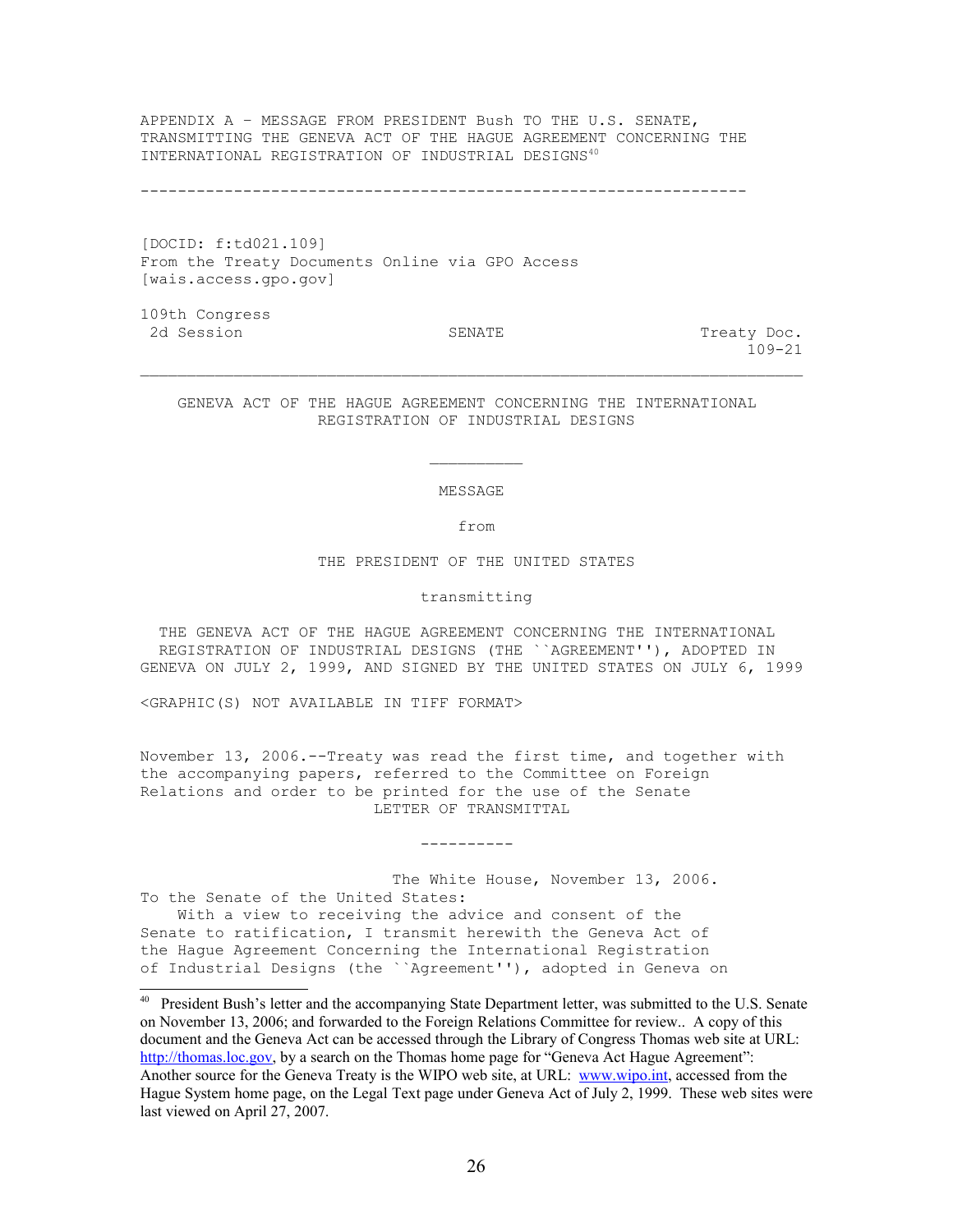APPENDIX A – MESSAGE FROM PRESIDENT Bush TO THE U.S. SENATE, TRANSMITTING THE GENEVA ACT OF THE HAGUE AGREEMENT CONCERNING THE INTERNATIONAL REGISTRATION OF INDUSTRIAL DESIGNS[40](#page-25-0)

-----------------------------------------------------------------

[DOCID: f:td021.109] From the Treaty Documents Online via GPO Access [wais.access.gpo.gov]

109th Congress 2d Session **SENATE** SENATE Treaty Doc.

109-21

 GENEVA ACT OF THE HAGUE AGREEMENT CONCERNING THE INTERNATIONAL REGISTRATION OF INDUSTRIAL DESIGNS

 $\Box$ 

MESSAGE

from

THE PRESIDENT OF THE UNITED STATES

transmitting

 THE GENEVA ACT OF THE HAGUE AGREEMENT CONCERNING THE INTERNATIONAL REGISTRATION OF INDUSTRIAL DESIGNS (THE ``AGREEMENT''), ADOPTED IN GENEVA ON JULY 2, 1999, AND SIGNED BY THE UNITED STATES ON JULY 6, 1999

<GRAPHIC(S) NOT AVAILABLE IN TIFF FORMAT>

November 13, 2006.--Treaty was read the first time, and together with the accompanying papers, referred to the Committee on Foreign Relations and order to be printed for the use of the Senate LETTER OF TRANSMITTAL

----------

 The White House, November 13, 2006. To the Senate of the United States: With a view to receiving the advice and consent of the Senate to ratification, I transmit herewith the Geneva Act of the Hague Agreement Concerning the International Registration of Industrial Designs (the ``Agreement''), adopted in Geneva on

<span id="page-25-0"></span><sup>40</sup> President Bush's letter and the accompanying State Department letter, was submitted to the U.S. Senate on November 13, 2006; and forwarded to the Foreign Relations Committee for review.. A copy of this document and the Geneva Act can be accessed through the Library of Congress Thomas web site at URL: [http://thomas.loc.gov,](http://thomas.loc.gov/) by a search on the Thomas home page for "Geneva Act Hague Agreement": Another source for the Geneva Treaty is the WIPO web site, at URL: [www.wipo.int,](http://www.wipo.int/) accessed from the Hague System home page, on the Legal Text page under Geneva Act of July 2, 1999. These web sites were last viewed on April 27, 2007.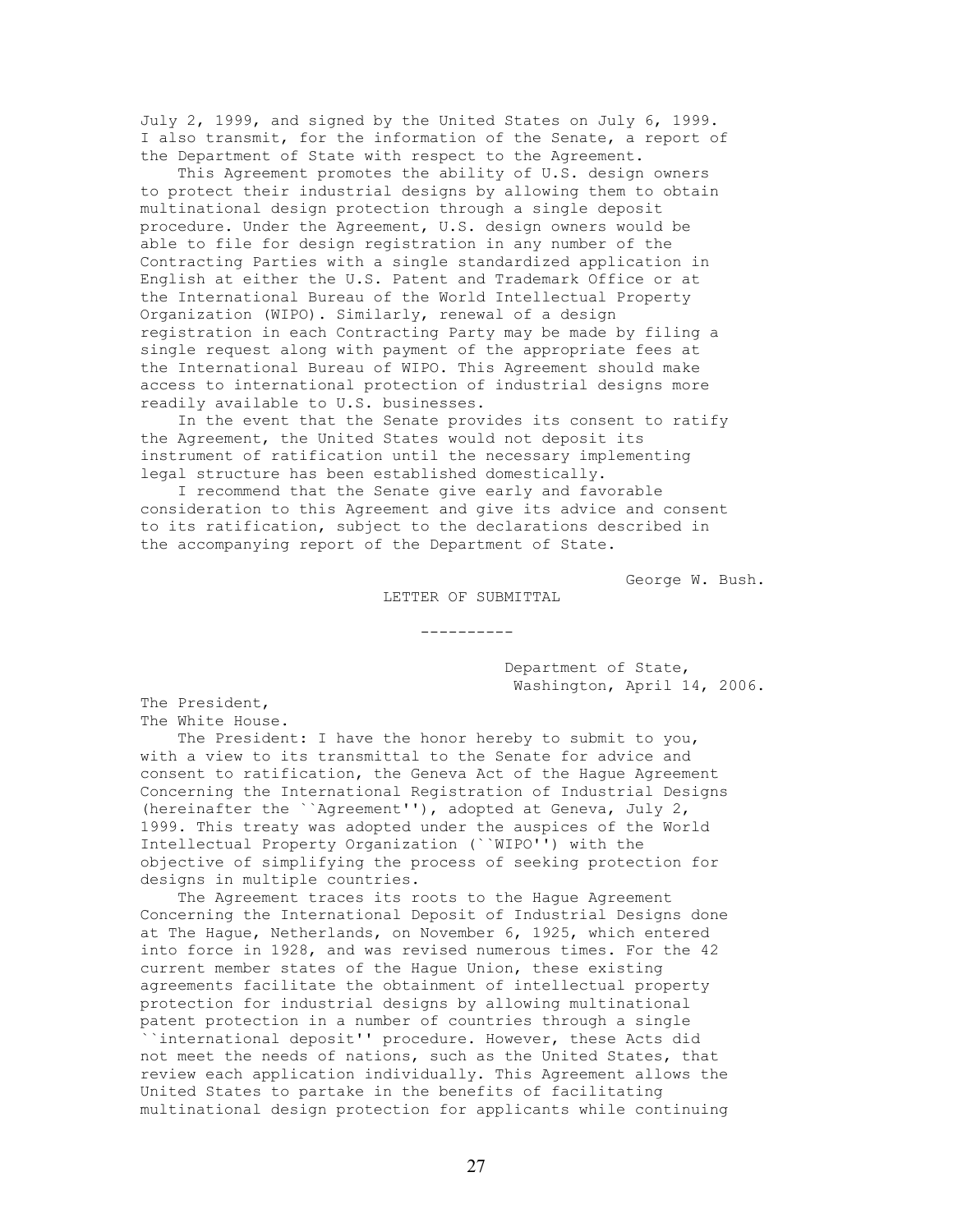July 2, 1999, and signed by the United States on July 6, 1999. I also transmit, for the information of the Senate, a report of the Department of State with respect to the Agreement.

 This Agreement promotes the ability of U.S. design owners to protect their industrial designs by allowing them to obtain multinational design protection through a single deposit procedure. Under the Agreement, U.S. design owners would be able to file for design registration in any number of the Contracting Parties with a single standardized application in English at either the U.S. Patent and Trademark Office or at the International Bureau of the World Intellectual Property Organization (WIPO). Similarly, renewal of a design registration in each Contracting Party may be made by filing a single request along with payment of the appropriate fees at the International Bureau of WIPO. This Agreement should make access to international protection of industrial designs more readily available to U.S. businesses.

 In the event that the Senate provides its consent to ratify the Agreement, the United States would not deposit its instrument of ratification until the necessary implementing legal structure has been established domestically.

 I recommend that the Senate give early and favorable consideration to this Agreement and give its advice and consent to its ratification, subject to the declarations described in the accompanying report of the Department of State.

George W. Bush.

#### LETTER OF SUBMITTAL

----------

 Department of State, Washington, April 14, 2006.

The President, The White House.

 The President: I have the honor hereby to submit to you, with a view to its transmittal to the Senate for advice and consent to ratification, the Geneva Act of the Hague Agreement Concerning the International Registration of Industrial Designs (hereinafter the ``Agreement''), adopted at Geneva, July 2, 1999. This treaty was adopted under the auspices of the World Intellectual Property Organization (``WIPO'') with the objective of simplifying the process of seeking protection for designs in multiple countries.

 The Agreement traces its roots to the Hague Agreement Concerning the International Deposit of Industrial Designs done at The Hague, Netherlands, on November 6, 1925, which entered into force in 1928, and was revised numerous times. For the 42 current member states of the Hague Union, these existing agreements facilitate the obtainment of intellectual property protection for industrial designs by allowing multinational patent protection in a number of countries through a single ``international deposit'' procedure. However, these Acts did not meet the needs of nations, such as the United States, that review each application individually. This Agreement allows the United States to partake in the benefits of facilitating multinational design protection for applicants while continuing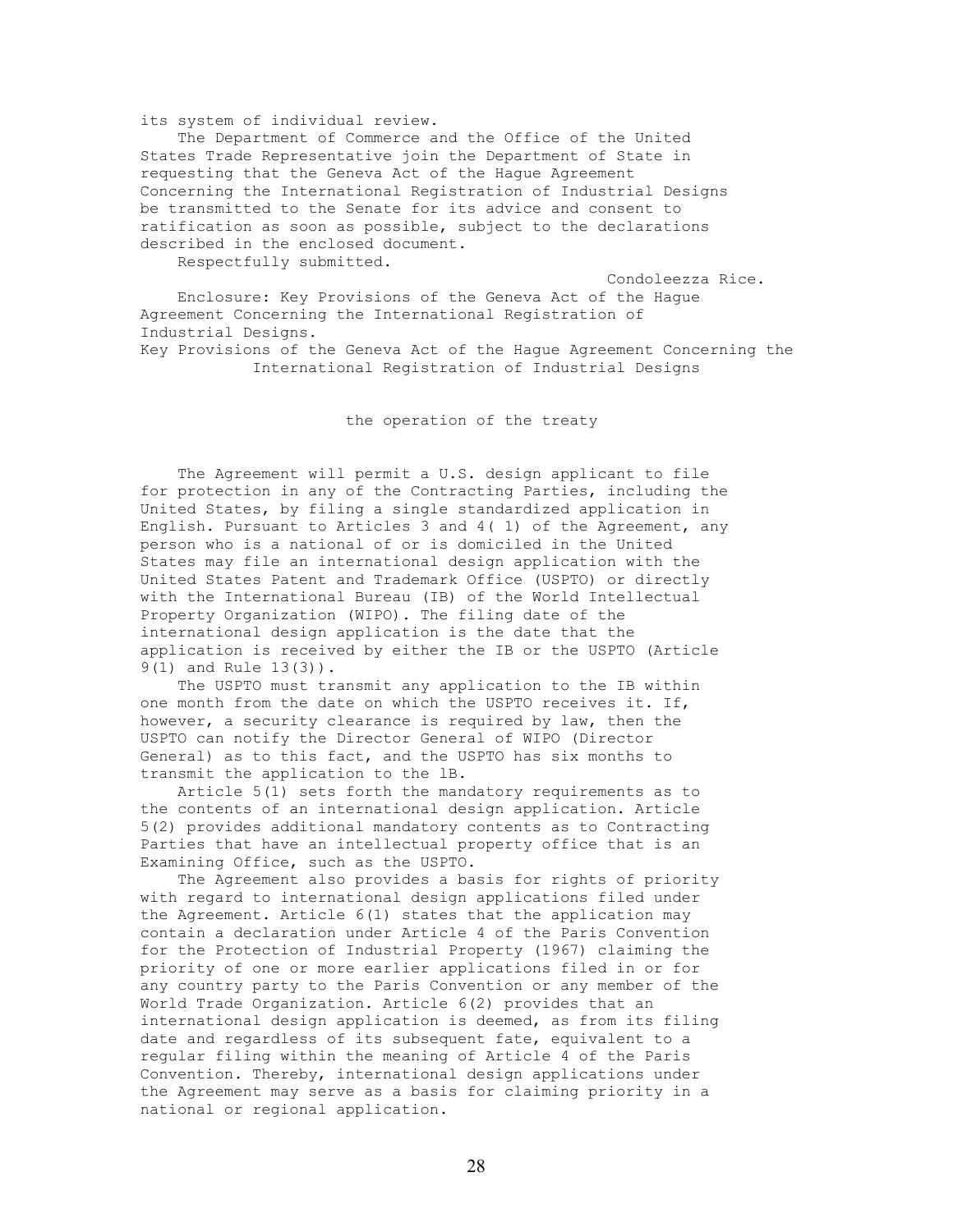#### its system of individual review.

 The Department of Commerce and the Office of the United States Trade Representative join the Department of State in requesting that the Geneva Act of the Hague Agreement Concerning the International Registration of Industrial Designs be transmitted to the Senate for its advice and consent to ratification as soon as possible, subject to the declarations described in the enclosed document.

Respectfully submitted.

Condoleezza Rice.

 Enclosure: Key Provisions of the Geneva Act of the Hague Agreement Concerning the International Registration of Industrial Designs. Key Provisions of the Geneva Act of the Hague Agreement Concerning the International Registration of Industrial Designs

the operation of the treaty

 The Agreement will permit a U.S. design applicant to file for protection in any of the Contracting Parties, including the United States, by filing a single standardized application in English. Pursuant to Articles 3 and 4( 1) of the Agreement, any person who is a national of or is domiciled in the United States may file an international design application with the United States Patent and Trademark Office (USPTO) or directly with the International Bureau (IB) of the World Intellectual Property Organization (WIPO). The filing date of the international design application is the date that the application is received by either the IB or the USPTO (Article 9(1) and Rule 13(3)).

 The USPTO must transmit any application to the IB within one month from the date on which the USPTO receives it. If, however, a security clearance is required by law, then the USPTO can notify the Director General of WIPO (Director General) as to this fact, and the USPTO has six months to transmit the application to the lB.

 Article 5(1) sets forth the mandatory requirements as to the contents of an international design application. Article 5(2) provides additional mandatory contents as to Contracting Parties that have an intellectual property office that is an Examining Office, such as the USPTO.

 The Agreement also provides a basis for rights of priority with regard to international design applications filed under the Agreement. Article 6(1) states that the application may contain a declaration under Article 4 of the Paris Convention for the Protection of Industrial Property (1967) claiming the priority of one or more earlier applications filed in or for any country party to the Paris Convention or any member of the World Trade Organization. Article 6(2) provides that an international design application is deemed, as from its filing date and regardless of its subsequent fate, equivalent to a regular filing within the meaning of Article 4 of the Paris Convention. Thereby, international design applications under the Agreement may serve as a basis for claiming priority in a national or regional application.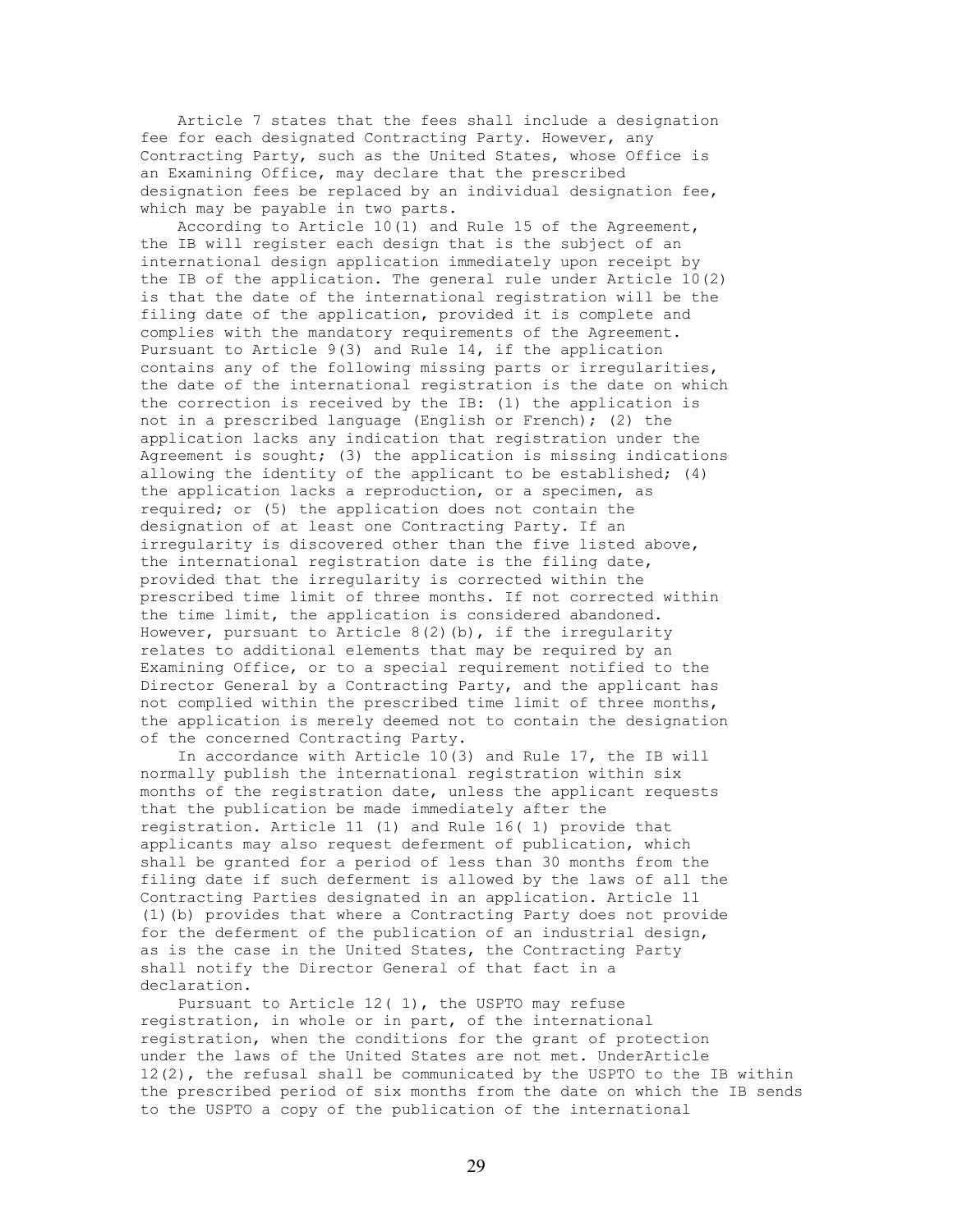Article 7 states that the fees shall include a designation fee for each designated Contracting Party. However, any Contracting Party, such as the United States, whose Office is an Examining Office, may declare that the prescribed designation fees be replaced by an individual designation fee, which may be payable in two parts.

 According to Article 10(1) and Rule 15 of the Agreement, the IB will register each design that is the subject of an international design application immediately upon receipt by the IB of the application. The general rule under Article 10(2) is that the date of the international registration will be the filing date of the application, provided it is complete and complies with the mandatory requirements of the Agreement. Pursuant to Article 9(3) and Rule 14, if the application contains any of the following missing parts or irregularities, the date of the international registration is the date on which the correction is received by the IB: (1) the application is not in a prescribed language (English or French); (2) the application lacks any indication that registration under the Agreement is sought; (3) the application is missing indications allowing the identity of the applicant to be established; (4) the application lacks a reproduction, or a specimen, as required; or (5) the application does not contain the designation of at least one Contracting Party. If an irregularity is discovered other than the five listed above, the international registration date is the filing date, provided that the irregularity is corrected within the prescribed time limit of three months. If not corrected within the time limit, the application is considered abandoned. However, pursuant to Article 8(2)(b), if the irregularity relates to additional elements that may be required by an Examining Office, or to a special requirement notified to the Director General by a Contracting Party, and the applicant has not complied within the prescribed time limit of three months, the application is merely deemed not to contain the designation of the concerned Contracting Party.

 In accordance with Article 10(3) and Rule 17, the IB will normally publish the international registration within six months of the registration date, unless the applicant requests that the publication be made immediately after the registration. Article 11 (1) and Rule 16( 1) provide that applicants may also request deferment of publication, which shall be granted for a period of less than 30 months from the filing date if such deferment is allowed by the laws of all the Contracting Parties designated in an application. Article 11 (1)(b) provides that where a Contracting Party does not provide for the deferment of the publication of an industrial design, as is the case in the United States, the Contracting Party shall notify the Director General of that fact in a declaration.

 Pursuant to Article 12( 1), the USPTO may refuse registration, in whole or in part, of the international registration, when the conditions for the grant of protection under the laws of the United States are not met. UnderArticle 12(2), the refusal shall be communicated by the USPTO to the IB within the prescribed period of six months from the date on which the IB sends to the USPTO a copy of the publication of the international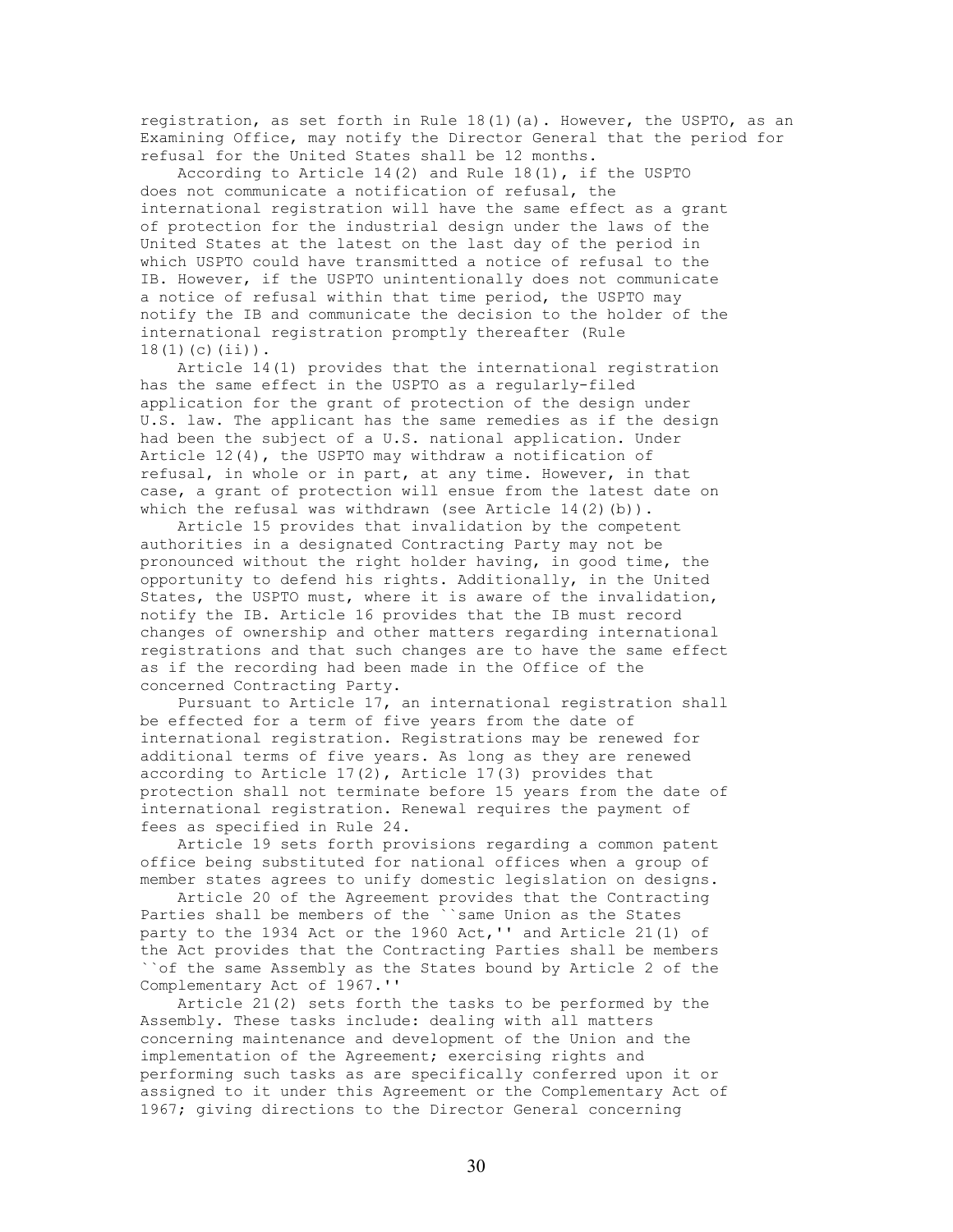registration, as set forth in Rule 18(1)(a). However, the USPTO, as an Examining Office, may notify the Director General that the period for refusal for the United States shall be 12 months.

 According to Article 14(2) and Rule 18(1), if the USPTO does not communicate a notification of refusal, the international registration will have the same effect as a grant of protection for the industrial design under the laws of the United States at the latest on the last day of the period in which USPTO could have transmitted a notice of refusal to the IB. However, if the USPTO unintentionally does not communicate a notice of refusal within that time period, the USPTO may notify the IB and communicate the decision to the holder of the international registration promptly thereafter (Rule 18(1)(c)(ii)).

 Article 14(1) provides that the international registration has the same effect in the USPTO as a regularly-filed application for the grant of protection of the design under U.S. law. The applicant has the same remedies as if the design had been the subject of a U.S. national application. Under Article 12(4), the USPTO may withdraw a notification of refusal, in whole or in part, at any time. However, in that case, a grant of protection will ensue from the latest date on which the refusal was withdrawn (see Article  $14(2)(b)$ ).

 Article 15 provides that invalidation by the competent authorities in a designated Contracting Party may not be pronounced without the right holder having, in good time, the opportunity to defend his rights. Additionally, in the United States, the USPTO must, where it is aware of the invalidation, notify the IB. Article 16 provides that the IB must record changes of ownership and other matters regarding international registrations and that such changes are to have the same effect as if the recording had been made in the Office of the concerned Contracting Party.

 Pursuant to Article 17, an international registration shall be effected for a term of five years from the date of international registration. Registrations may be renewed for additional terms of five years. As long as they are renewed according to Article 17(2), Article 17(3) provides that protection shall not terminate before 15 years from the date of international registration. Renewal requires the payment of fees as specified in Rule 24.

 Article 19 sets forth provisions regarding a common patent office being substituted for national offices when a group of member states agrees to unify domestic legislation on designs.

 Article 20 of the Agreement provides that the Contracting Parties shall be members of the ``same Union as the States party to the 1934 Act or the 1960 Act,'' and Article 21(1) of the Act provides that the Contracting Parties shall be members ``of the same Assembly as the States bound by Article 2 of the Complementary Act of 1967.''

 Article 21(2) sets forth the tasks to be performed by the Assembly. These tasks include: dealing with all matters concerning maintenance and development of the Union and the implementation of the Agreement; exercising rights and performing such tasks as are specifically conferred upon it or assigned to it under this Agreement or the Complementary Act of 1967; giving directions to the Director General concerning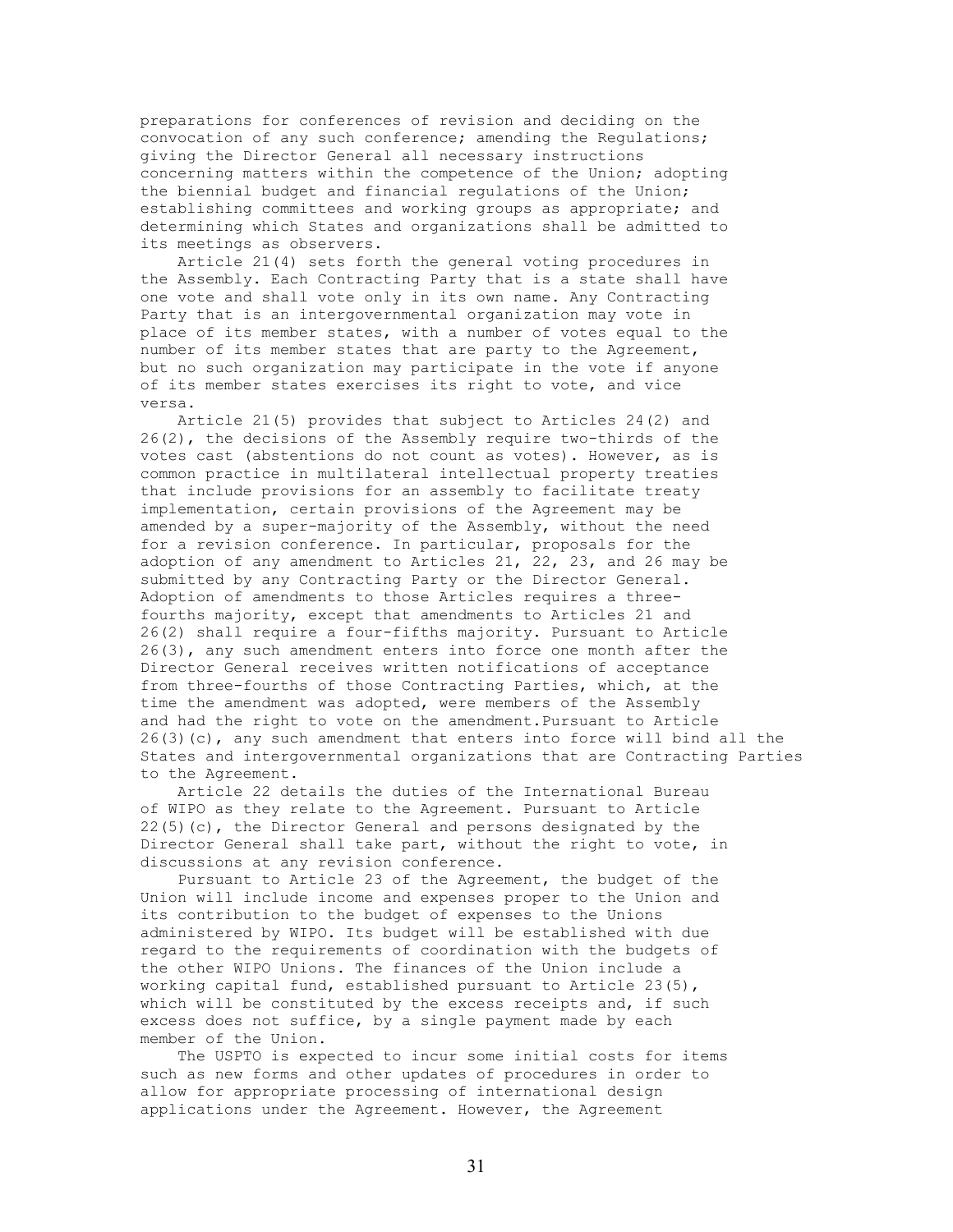preparations for conferences of revision and deciding on the convocation of any such conference; amending the Regulations; giving the Director General all necessary instructions concerning matters within the competence of the Union; adopting the biennial budget and financial regulations of the Union; establishing committees and working groups as appropriate; and determining which States and organizations shall be admitted to its meetings as observers.

 Article 21(4) sets forth the general voting procedures in the Assembly. Each Contracting Party that is a state shall have one vote and shall vote only in its own name. Any Contracting Party that is an intergovernmental organization may vote in place of its member states, with a number of votes equal to the number of its member states that are party to the Agreement, but no such organization may participate in the vote if anyone of its member states exercises its right to vote, and vice versa.

 Article 21(5) provides that subject to Articles 24(2) and 26(2), the decisions of the Assembly require two-thirds of the votes cast (abstentions do not count as votes). However, as is common practice in multilateral intellectual property treaties that include provisions for an assembly to facilitate treaty implementation, certain provisions of the Agreement may be amended by a super-majority of the Assembly, without the need for a revision conference. In particular, proposals for the adoption of any amendment to Articles 21, 22, 23, and 26 may be submitted by any Contracting Party or the Director General. Adoption of amendments to those Articles requires a threefourths majority, except that amendments to Articles 21 and 26(2) shall require a four-fifths majority. Pursuant to Article 26(3), any such amendment enters into force one month after the Director General receives written notifications of acceptance from three-fourths of those Contracting Parties, which, at the time the amendment was adopted, were members of the Assembly and had the right to vote on the amendment.Pursuant to Article  $26(3)(c)$ , any such amendment that enters into force will bind all the States and intergovernmental organizations that are Contracting Parties to the Agreement.

 Article 22 details the duties of the International Bureau of WIPO as they relate to the Agreement. Pursuant to Article 22(5)(c), the Director General and persons designated by the Director General shall take part, without the right to vote, in discussions at any revision conference.

 Pursuant to Article 23 of the Agreement, the budget of the Union will include income and expenses proper to the Union and its contribution to the budget of expenses to the Unions administered by WIPO. Its budget will be established with due regard to the requirements of coordination with the budgets of the other WIPO Unions. The finances of the Union include a working capital fund, established pursuant to Article 23(5), which will be constituted by the excess receipts and, if such excess does not suffice, by a single payment made by each member of the Union.

 The USPTO is expected to incur some initial costs for items such as new forms and other updates of procedures in order to allow for appropriate processing of international design applications under the Agreement. However, the Agreement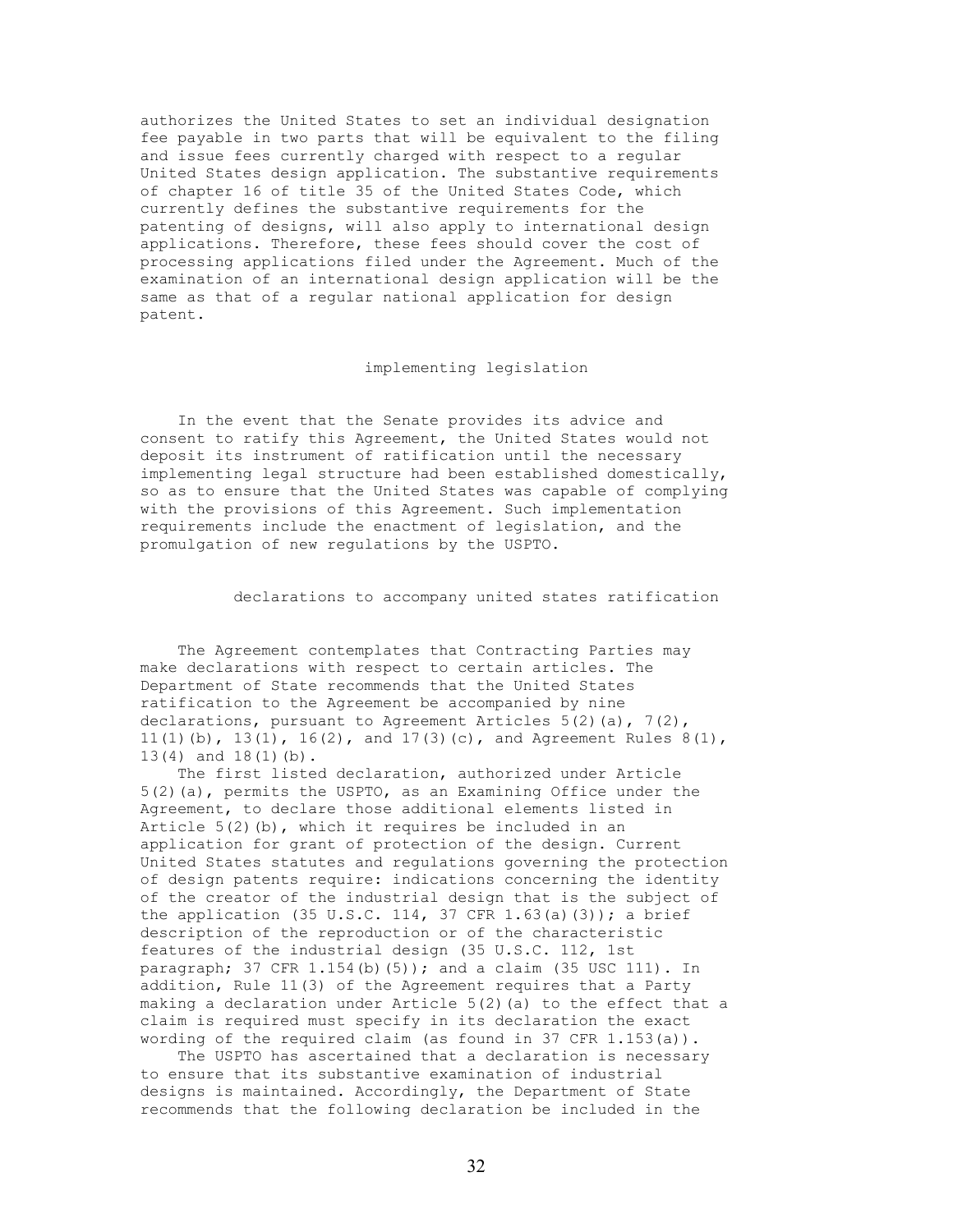authorizes the United States to set an individual designation fee payable in two parts that will be equivalent to the filing and issue fees currently charged with respect to a regular United States design application. The substantive requirements of chapter 16 of title 35 of the United States Code, which currently defines the substantive requirements for the patenting of designs, will also apply to international design applications. Therefore, these fees should cover the cost of processing applications filed under the Agreement. Much of the examination of an international design application will be the same as that of a regular national application for design patent.

### implementing legislation

 In the event that the Senate provides its advice and consent to ratify this Agreement, the United States would not deposit its instrument of ratification until the necessary implementing legal structure had been established domestically, so as to ensure that the United States was capable of complying with the provisions of this Agreement. Such implementation requirements include the enactment of legislation, and the promulgation of new regulations by the USPTO.

declarations to accompany united states ratification

 The Agreement contemplates that Contracting Parties may make declarations with respect to certain articles. The Department of State recommends that the United States ratification to the Agreement be accompanied by nine declarations, pursuant to Agreement Articles  $5(2)(a)$ ,  $7(2)$ , 11(1)(b), 13(1), 16(2), and 17(3)(c), and Agreement Rules  $8(1)$ , 13(4) and 18(1)(b).

 The first listed declaration, authorized under Article 5(2)(a), permits the USPTO, as an Examining Office under the Agreement, to declare those additional elements listed in Article 5(2)(b), which it requires be included in an application for grant of protection of the design. Current United States statutes and regulations governing the protection of design patents require: indications concerning the identity of the creator of the industrial design that is the subject of the application (35 U.S.C. 114, 37 CFR 1.63(a)(3)); a brief description of the reproduction or of the characteristic features of the industrial design (35 U.S.C. 112, 1st paragraph; 37 CFR 1.154(b)(5)); and a claim (35 USC 111). In addition, Rule 11(3) of the Agreement requires that a Party making a declaration under Article  $5(2)$  (a) to the effect that a claim is required must specify in its declaration the exact wording of the required claim (as found in 37 CFR  $1.153(a)$ ).

 The USPTO has ascertained that a declaration is necessary to ensure that its substantive examination of industrial designs is maintained. Accordingly, the Department of State recommends that the following declaration be included in the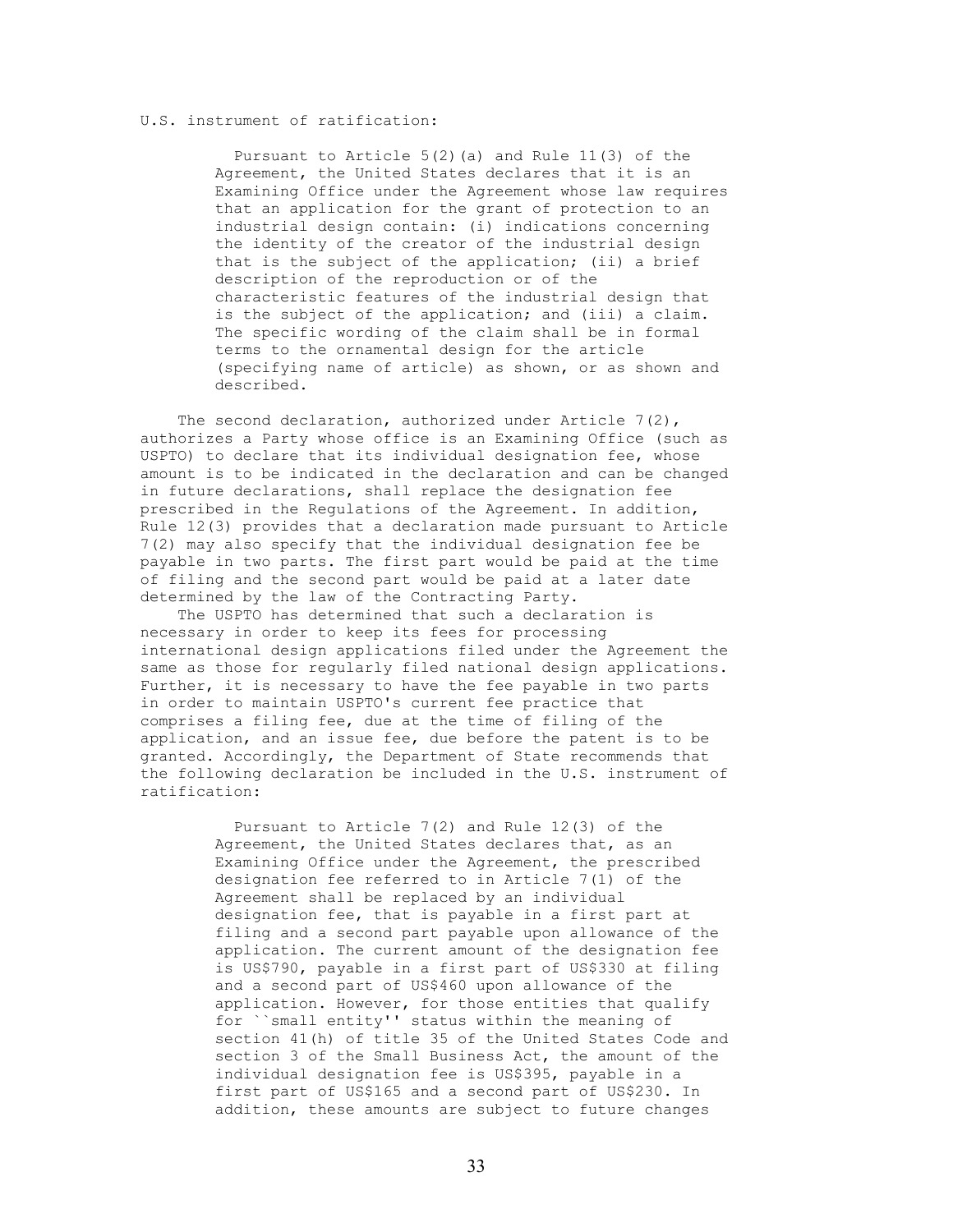### U.S. instrument of ratification:

Pursuant to Article  $5(2)$  (a) and Rule  $11(3)$  of the Agreement, the United States declares that it is an Examining Office under the Agreement whose law requires that an application for the grant of protection to an industrial design contain: (i) indications concerning the identity of the creator of the industrial design that is the subject of the application; (ii) a brief description of the reproduction or of the characteristic features of the industrial design that is the subject of the application; and (iii) a claim. The specific wording of the claim shall be in formal terms to the ornamental design for the article (specifying name of article) as shown, or as shown and described.

The second declaration, authorized under Article  $7(2)$ , authorizes a Party whose office is an Examining Office (such as USPTO) to declare that its individual designation fee, whose amount is to be indicated in the declaration and can be changed in future declarations, shall replace the designation fee prescribed in the Regulations of the Agreement. In addition, Rule 12(3) provides that a declaration made pursuant to Article 7(2) may also specify that the individual designation fee be payable in two parts. The first part would be paid at the time of filing and the second part would be paid at a later date determined by the law of the Contracting Party.

 The USPTO has determined that such a declaration is necessary in order to keep its fees for processing international design applications filed under the Agreement the same as those for regularly filed national design applications. Further, it is necessary to have the fee payable in two parts in order to maintain USPTO's current fee practice that comprises a filing fee, due at the time of filing of the application, and an issue fee, due before the patent is to be granted. Accordingly, the Department of State recommends that the following declaration be included in the U.S. instrument of ratification:

> Pursuant to Article 7(2) and Rule 12(3) of the Agreement, the United States declares that, as an Examining Office under the Agreement, the prescribed designation fee referred to in Article 7(1) of the Agreement shall be replaced by an individual designation fee, that is payable in a first part at filing and a second part payable upon allowance of the application. The current amount of the designation fee is US\$790, payable in a first part of US\$330 at filing and a second part of US\$460 upon allowance of the application. However, for those entities that qualify for ``small entity'' status within the meaning of section 41(h) of title 35 of the United States Code and section 3 of the Small Business Act, the amount of the individual designation fee is US\$395, payable in a first part of US\$165 and a second part of US\$230. In addition, these amounts are subject to future changes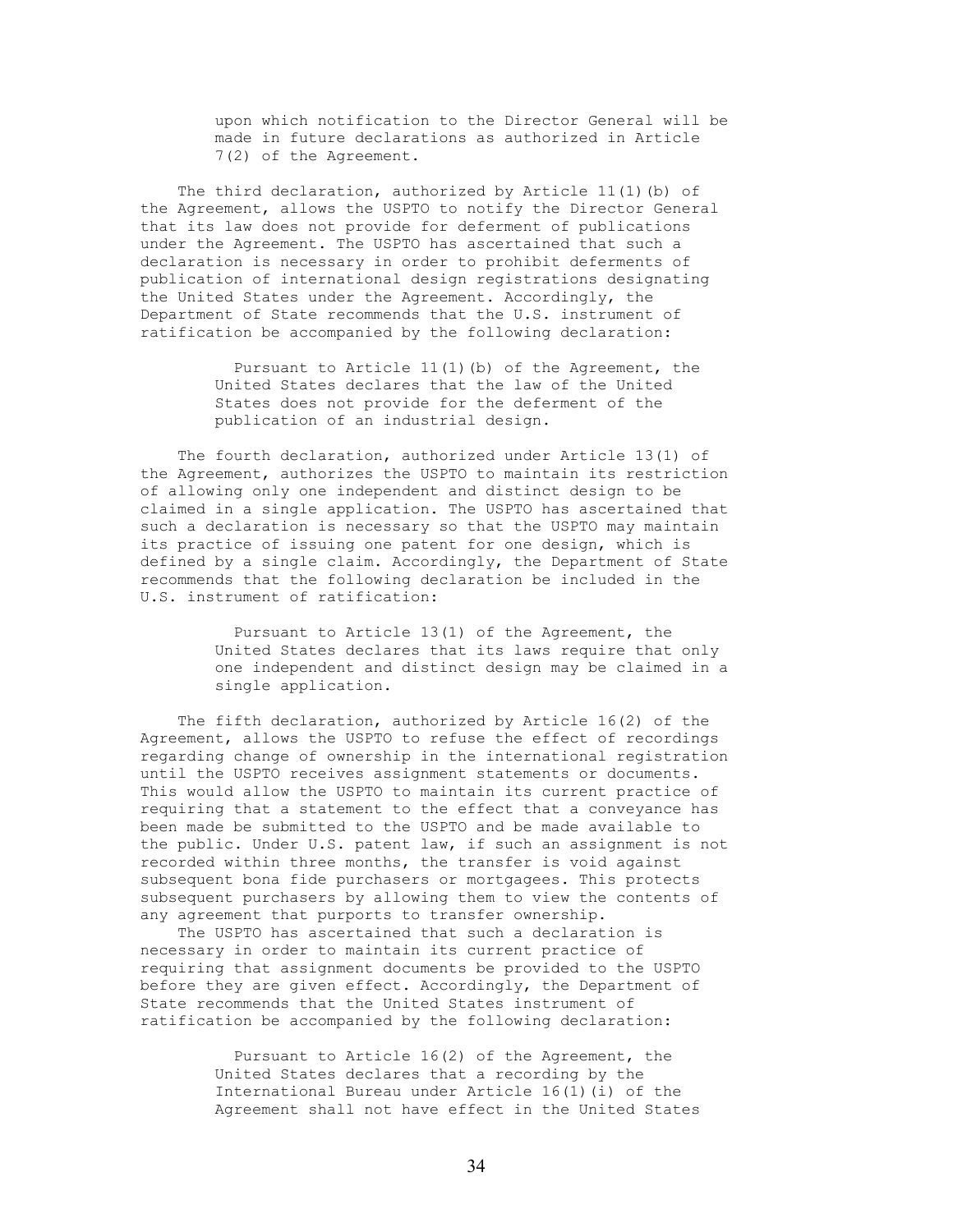upon which notification to the Director General will be made in future declarations as authorized in Article 7(2) of the Agreement.

 The third declaration, authorized by Article 11(1)(b) of the Agreement, allows the USPTO to notify the Director General that its law does not provide for deferment of publications under the Agreement. The USPTO has ascertained that such a declaration is necessary in order to prohibit deferments of publication of international design registrations designating the United States under the Agreement. Accordingly, the Department of State recommends that the U.S. instrument of ratification be accompanied by the following declaration:

> Pursuant to Article 11(1)(b) of the Agreement, the United States declares that the law of the United States does not provide for the deferment of the publication of an industrial design.

 The fourth declaration, authorized under Article 13(1) of the Agreement, authorizes the USPTO to maintain its restriction of allowing only one independent and distinct design to be claimed in a single application. The USPTO has ascertained that such a declaration is necessary so that the USPTO may maintain its practice of issuing one patent for one design, which is defined by a single claim. Accordingly, the Department of State recommends that the following declaration be included in the U.S. instrument of ratification:

> Pursuant to Article 13(1) of the Agreement, the United States declares that its laws require that only one independent and distinct design may be claimed in a single application.

 The fifth declaration, authorized by Article 16(2) of the Agreement, allows the USPTO to refuse the effect of recordings regarding change of ownership in the international registration until the USPTO receives assignment statements or documents. This would allow the USPTO to maintain its current practice of requiring that a statement to the effect that a conveyance has been made be submitted to the USPTO and be made available to the public. Under U.S. patent law, if such an assignment is not recorded within three months, the transfer is void against subsequent bona fide purchasers or mortgagees. This protects subsequent purchasers by allowing them to view the contents of any agreement that purports to transfer ownership.

 The USPTO has ascertained that such a declaration is necessary in order to maintain its current practice of requiring that assignment documents be provided to the USPTO before they are given effect. Accordingly, the Department of State recommends that the United States instrument of ratification be accompanied by the following declaration:

> Pursuant to Article 16(2) of the Agreement, the United States declares that a recording by the International Bureau under Article 16(1)(i) of the Agreement shall not have effect in the United States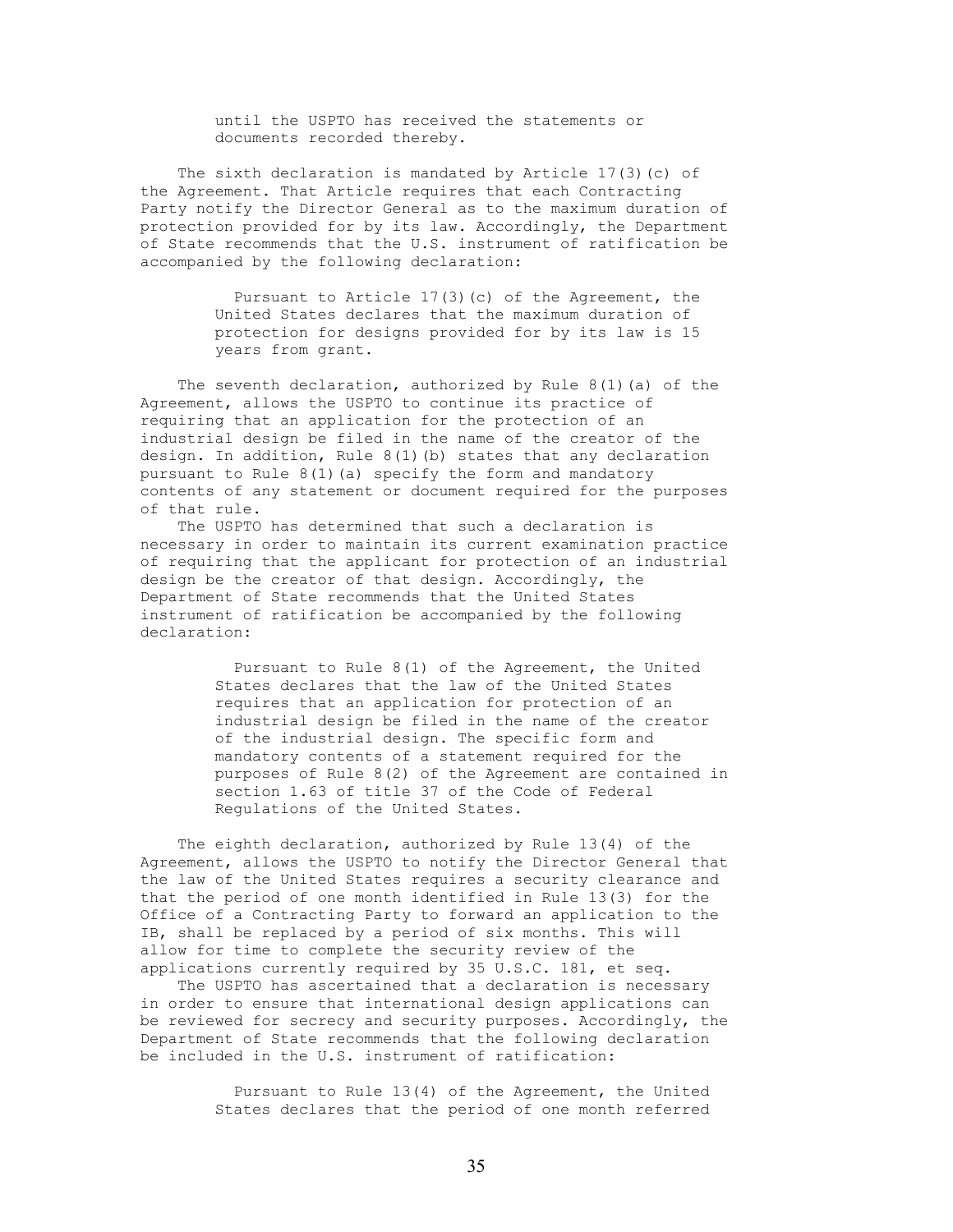until the USPTO has received the statements or documents recorded thereby.

 The sixth declaration is mandated by Article 17(3)(c) of the Agreement. That Article requires that each Contracting Party notify the Director General as to the maximum duration of protection provided for by its law. Accordingly, the Department of State recommends that the U.S. instrument of ratification be accompanied by the following declaration:

> Pursuant to Article 17(3)(c) of the Agreement, the United States declares that the maximum duration of protection for designs provided for by its law is 15 years from grant.

 The seventh declaration, authorized by Rule 8(1)(a) of the Agreement, allows the USPTO to continue its practice of requiring that an application for the protection of an industrial design be filed in the name of the creator of the design. In addition, Rule  $8(1)(b)$  states that any declaration pursuant to Rule 8(1)(a) specify the form and mandatory contents of any statement or document required for the purposes of that rule.

 The USPTO has determined that such a declaration is necessary in order to maintain its current examination practice of requiring that the applicant for protection of an industrial design be the creator of that design. Accordingly, the Department of State recommends that the United States instrument of ratification be accompanied by the following declaration:

> Pursuant to Rule 8(1) of the Agreement, the United States declares that the law of the United States requires that an application for protection of an industrial design be filed in the name of the creator of the industrial design. The specific form and mandatory contents of a statement required for the purposes of Rule 8(2) of the Agreement are contained in section 1.63 of title 37 of the Code of Federal Regulations of the United States.

 The eighth declaration, authorized by Rule 13(4) of the Agreement, allows the USPTO to notify the Director General that the law of the United States requires a security clearance and that the period of one month identified in Rule 13(3) for the Office of a Contracting Party to forward an application to the IB, shall be replaced by a period of six months. This will allow for time to complete the security review of the applications currently required by 35 U.S.C. 181, et seq.

 The USPTO has ascertained that a declaration is necessary in order to ensure that international design applications can be reviewed for secrecy and security purposes. Accordingly, the Department of State recommends that the following declaration be included in the U.S. instrument of ratification:

> Pursuant to Rule 13(4) of the Agreement, the United States declares that the period of one month referred